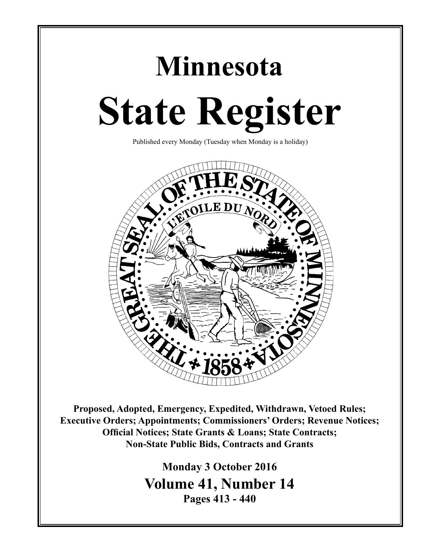# **Minnesota State Register**

Published every Monday (Tuesday when Monday is a holiday)



**Proposed, Adopted, Emergency, Expedited, Withdrawn, Vetoed Rules; Executive Orders; Appointments; Commissioners' Orders; Revenue Notices; Official Notices; State Grants & Loans; State Contracts; Non-State Public Bids, Contracts and Grants**

> **Monday 3 October 2016 Volume 41, Number 14 Pages 413 - 440**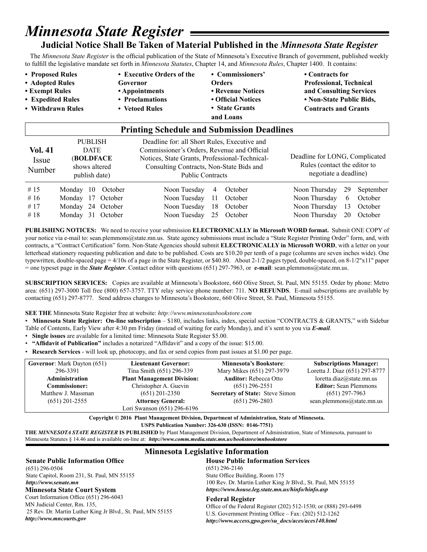# *Minnesota State Register*

### **Judicial Notice Shall Be Taken of Material Published in the** *Minnesota State Register*

 The *Minnesota State Register* is the official publication of the State of Minnesota's Executive Branch of government, published weekly to fulfill the legislative mandate set forth in *Minnesota Statutes*, Chapter 14, and *Minnesota Rules*, Chapter 1400. It contains:

• Proposed Rules **•** Executive Orders of the • Commissioners' • Contracts for **• Adopted Rules Governor Orders Professional, Technical • Exempt Rules • Appointments • Revenue Notices and Consulting Services • Expedited Rules • Proclamations • Official Notices • Non-State Public Bids,**  • Withdrawn Rules • Vetoed Rules • State Grants **Contracts and Grants and Loans** 

| <b>Printing Schedule and Submission Deadlines</b> |                                                                              |         |                                                                                                                                                                                                                      |    |         |                                                                                         |    |           |
|---------------------------------------------------|------------------------------------------------------------------------------|---------|----------------------------------------------------------------------------------------------------------------------------------------------------------------------------------------------------------------------|----|---------|-----------------------------------------------------------------------------------------|----|-----------|
| <b>Vol. 41</b><br>Issue<br>Number                 | <b>PUBLISH</b><br><b>DATE</b><br>(BOLDFACE<br>shows altered<br>publish date) |         | Deadline for: all Short Rules, Executive and<br>Commissioner's Orders, Revenue and Official<br>Notices, State Grants, Professional-Technical-<br>Consulting Contracts, Non-State Bids and<br><b>Public Contracts</b> |    |         | Deadline for LONG, Complicated<br>Rules (contact the editor to<br>negotiate a deadline) |    |           |
| # 15                                              | Monday 10                                                                    | October | Noon Tuesday                                                                                                                                                                                                         | 4  | October | Noon Thursday                                                                           | 29 | September |
| # $16$                                            | 17<br>Monday                                                                 | October | Noon Tuesday                                                                                                                                                                                                         | 11 | October | Noon Thursday                                                                           | 6  | October   |
| #17                                               | 24<br>Mondav                                                                 | October | Noon Tuesday                                                                                                                                                                                                         | 18 | October | Noon Thursday                                                                           | 13 | October   |
| #18                                               | Monday 31 October                                                            |         | Noon Tuesday                                                                                                                                                                                                         | 25 | October | Noon Thursday                                                                           | 20 | October   |

**PUBLISHING NOTICES:** We need to receive your submission **ELECTRONICALLY in Microsoft WORD format.** Submit ONE COPY of your notice via e-mail to: sean.plemmons@state.mn.us. State agency submissions must include a "State Register Printing Order" form, and, with contracts, a "Contract Certification" form. Non-State Agencies should submit **ELECTRONICALLY in Microsoft WORD**, with a letter on your letterhead stationery requesting publication and date to be published. Costs are \$10.20 per tenth of a page (columns are seven inches wide). One typewritten, double-spaced page = 4/10s of a page in the State Register, or \$40.80. About 2-1/2 pages typed, double-spaced, on 8-1/2"x11" paper = one typeset page in the *State Register*. Contact editor with questions (651) 297-7963, or **e-mail**: sean.plemmons@state.mn.us.

**SUBSCRIPTION SERVICES:** Copies are available at Minnesota's Bookstore, 660 Olive Street, St. Paul, MN 55155. Order by phone: Metro area: (651) 297-3000 Toll free (800) 657-3757. TTY relay service phone number: 711. **NO REFUNDS**. E-mail subscriptions are available by contacting (651) 297-8777. Send address changes to Minnesota's Bookstore, 660 Olive Street, St. Paul, Minnesota 55155.

#### **SEE THE** Minnesota State Register free at website: *http://www.minnesotasbookstore.com*

• **Minnesota State Register: On-line subscription** – \$180, includes links, index, special section "CONTRACTS & GRANTS," with Sidebar Table of Contents, Early View after 4:30 pm Friday (instead of waiting for early Monday), and it's sent to you via *E-mail*.

- **Single issues** are available for a limited time: Minnesota State Register \$5.00.
- **"Affidavit of Publication"** includes a notarized "Affidavit" and a copy of the issue: \$15.00.
- **Research Services** will look up, photocopy, and fax or send copies from past issues at \$1.00 per page.

| <b>Governor:</b> Mark Dayton (651) | <b>Lieutenant Governor:</b>       | <b>Minnesota's Bookstore:</b>          | <b>Subscriptions Manager:</b>  |
|------------------------------------|-----------------------------------|----------------------------------------|--------------------------------|
| 296-3391                           | Tina Smith (651) 296-339          | Mary Mikes (651) 297-3979              | Loretta J. Diaz (651) 297-8777 |
| <b>Administration</b>              | <b>Plant Management Division:</b> | <b>Auditor:</b> Rebecca Otto           | loretta.diaz@state.mn.us       |
| <b>Commissioner:</b>               | Christopher A. Guevin             | $(651)$ 296-2551                       | <b>Editor:</b> Sean Plemmons   |
| Matthew J. Massman                 | $(651)$ 201-2350                  | <b>Secretary of State: Steve Simon</b> | $(651)$ 297-7963               |
| $(651)$ 201-2555                   | <b>Attorney General:</b>          | $(651)$ 296-2803                       | sean.plemmons@state.mn.us      |
|                                    | Lori Swanson (651) 296-6196       |                                        |                                |

**Copyright © 2016 Plant Management Division, Department of Administration, State of Minnesota. USPS Publication Number: 326-630 (ISSN: 0146-7751)**

**THE** *MINNESOTA STATE REGISTER* **IS PUBLISHED** by Plant Management Division, Department of Administration, State of Minnesota, pursuant to Minnesota Statutes § 14.46 and is available on-line at: *http://www.comm.media.state.mn.us/bookstore/mnbookstore* 

#### **Senate Public Information Office**

(651) 296-0504 State Capitol, Room 231, St. Paul, MN 55155 *http://www.senate.mn*

Court Information Office (651) 296-6043 MN Judicial Center, Rm. 135, 25 Rev. Dr. Martin Luther King Jr Blvd., St. Paul, MN 55155 *http://www.mncourts.gov*

#### **Minnesota Legislative Information**

#### **House Public Information Services**

(651) 296-2146 State Office Building, Room 175 100 Rev. Dr. Martin Luther King Jr Blvd., St. Paul, MN 55155 **Minnesota State Court System** *https://www.house.leg.state.mn.us/hinfo/hinfo.asp*

#### **Federal Register**

Office of the Federal Register (202) 512-1530; or (888) 293-6498 U.S. Government Printing Office – Fax: (202) 512-1262 *http://www.access.gpo.gov/su\_docs/aces/aces140.html*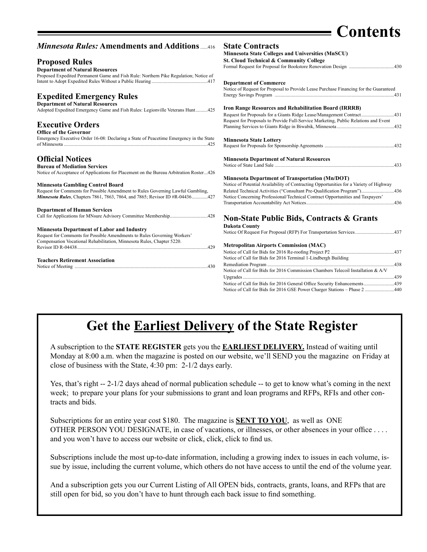## **Contents**

| <b>Minnesota Rules: Amendments and Additions</b> 416                                   | <b>State Contracts</b>                                                                 |
|----------------------------------------------------------------------------------------|----------------------------------------------------------------------------------------|
|                                                                                        | Minnesota State Colleges and Universities (MnSCU)                                      |
| <b>Proposed Rules</b>                                                                  | St. Cloud Technical & Community College                                                |
|                                                                                        |                                                                                        |
| <b>Department of Natural Resources</b>                                                 |                                                                                        |
| Proposed Expedited Permanent Game and Fish Rule: Northern Pike Regulation; Notice of   |                                                                                        |
|                                                                                        | <b>Department of Commerce</b>                                                          |
|                                                                                        | Notice of Request for Proposal to Provide Lease Purchase Financing for the Guaranteed  |
| <b>Expedited Emergency Rules</b>                                                       |                                                                                        |
| <b>Department of Natural Resources</b>                                                 |                                                                                        |
| Adopted Expedited Emergency Game and Fish Rules: Legionville Veterans Hunt425          | <b>Iron Range Resources and Rehabilitation Board (IRRRB)</b>                           |
|                                                                                        | Request for Proposals for a Giants Ridge Lease/Management Contract431                  |
|                                                                                        | Request for Proposals to Provide Full-Service Marketing, Public Relations and Event    |
| <b>Executive Orders</b>                                                                |                                                                                        |
| <b>Office of the Governor</b>                                                          |                                                                                        |
| Emergency Executive Order 16-08: Declaring a State of Peacetime Emergency in the State | <b>Minnesota State Lottery</b>                                                         |
|                                                                                        |                                                                                        |
| <b>Official Notices</b>                                                                | <b>Minnesota Department of Natural Resources</b>                                       |
| <b>Bureau of Mediation Services</b>                                                    |                                                                                        |
| Notice of Acceptance of Applications for Placement on the Bureau Arbitration Roster426 |                                                                                        |
|                                                                                        | <b>Minnesota Department of Transportation (Mn/DOT)</b>                                 |
| <b>Minnesota Gambling Control Board</b>                                                | Notice of Potential Availability of Contracting Opportunities for a Variety of Highway |
| Request for Comments for Possible Amendment to Rules Governing Lawful Gambling,        | Related Technical Activities ("Consultant Pre-Qualification Program")436               |
| Minnesota Rules, Chapters 7861, 7863, 7864, and 7865; Revisor ID #R-04436427           | Notice Concerning Professional/Technical Contract Opportunities and Taxpayers'         |
|                                                                                        |                                                                                        |
| <b>Department of Human Services</b>                                                    |                                                                                        |
|                                                                                        |                                                                                        |
|                                                                                        | <b>Non-State Public Bids, Contracts &amp; Grants</b>                                   |
| <b>Minnesota Department of Labor and Industry</b>                                      | <b>Dakota County</b>                                                                   |
| Request for Comments for Possible Amendments to Rules Governing Workers'               |                                                                                        |
| Compensation Vocational Rehabilitation, Minnesota Rules, Chapter 5220.                 |                                                                                        |
| 429                                                                                    | <b>Metropolitan Airports Commission (MAC)</b>                                          |
|                                                                                        |                                                                                        |
| <b>Teachers Retirement Association</b>                                                 | Notice of Call for Bids for 2016 Terminal 1-Lindbergh Building                         |
|                                                                                        |                                                                                        |
|                                                                                        | Notice of Call for Bids for 2016 Commission Chambers Telecoil Installation & A/V       |
|                                                                                        |                                                                                        |
|                                                                                        |                                                                                        |
|                                                                                        | Notice of Call for Bids for 2016 GSE Power Charger Stations – Phase 2<br>440           |

### **Get the Earliest Delivery of the State Register**

A subscription to the **STATE REGISTER** gets you the **EARLIEST DELIVERY.** Instead of waiting until Monday at 8:00 a.m. when the magazine is posted on our website, we'll SEND you the magazine on Friday at close of business with the State, 4:30 pm: 2-1/2 days early.

Yes, that's right -- 2-1/2 days ahead of normal publication schedule -- to get to know what's coming in the next week; to prepare your plans for your submissions to grant and loan programs and RFPs, RFIs and other contracts and bids.

Subscriptions for an entire year cost \$180. The magazine is **SENT TO YOU**, as well as ONE OTHER PERSON YOU DESIGNATE, in case of vacations, or illnesses, or other absences in your office . . . . and you won't have to access our website or click, click, click to find us.

Subscriptions include the most up-to-date information, including a growing index to issues in each volume, issue by issue, including the current volume, which others do not have access to until the end of the volume year.

And a subscription gets you our Current Listing of All OPEN bids, contracts, grants, loans, and RFPs that are still open for bid, so you don't have to hunt through each back issue to find something.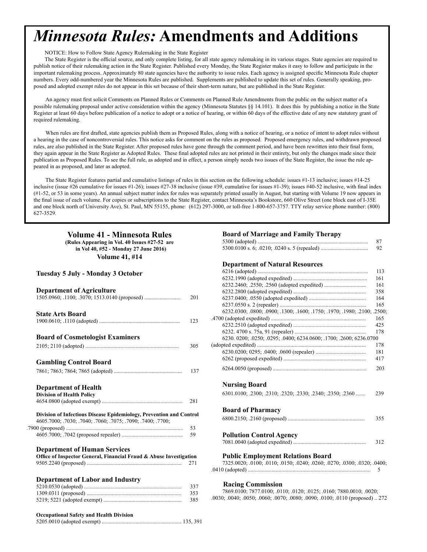# <span id="page-3-0"></span>*Minnesota Rules:* **Amendments and Additions**

NOTICE: How to Follow State Agency Rulemaking in the State Register

The State Register is the official source, and only complete listing, for all state agency rulemaking in its various stages. State agencies are required to publish notice of their rulemaking action in the State Register. Published every Monday, the State Register makes it easy to follow and participate in the important rulemaking process. Approximately 80 state agencies have the authority to issue rules. Each agency is assigned specific Minnesota Rule chapter numbers. Every odd-numbered year the Minnesota Rules are published. Supplements are published to update this set of rules. Generally speaking, proposed and adopted exempt rules do not appear in this set because of their short-term nature, but are published in the State Register.

An agency must first solicit Comments on Planned Rules or Comments on Planned Rule Amendments from the public on the subject matter of a possible rulemaking proposal under active consideration within the agency (Minnesota Statutes §§ 14.101). It does this by publishing a notice in the State Register at least 60 days before publication of a notice to adopt or a notice of hearing, or within 60 days of the effective date of any new statutory grant of required rulemaking.

When rules are first drafted, state agencies publish them as Proposed Rules, along with a notice of hearing, or a notice of intent to adopt rules without a hearing in the case of noncontroversial rules. This notice asks for comment on the rules as proposed. Proposed emergency rules, and withdrawn proposed rules, are also published in the State Register. After proposed rules have gone through the comment period, and have been rewritten into their final form, they again appear in the State Register as Adopted Rules. These final adopted rules are not printed in their entirety, but only the changes made since their publication as Proposed Rules. To see the full rule, as adopted and in effect, a person simply needs two issues of the State Register, the issue the rule appeared in as proposed, and later as adopted.

The State Register features partial and cumulative listings of rules in this section on the following schedule: issues #1-13 inclusive; issues #14-25 inclusive (issue #26 cumulative for issues #1-26); issues #27-38 inclusive (issue #39, cumulative for issues #1-39); issues #40-52 inclusive, with final index (#1-52, or 53 in some years). An annual subject matter index for rules was separately printed usually in August, but starting with Volume 19 now appears in the final issue of each volume. For copies or subscriptions to the State Register, contact Minnesota's Bookstore, 660 Olive Street (one block east of I-35E and one block north of University Ave), St. Paul, MN 55155, phone: (612) 297-3000, or toll-free 1-800-657-3757. TTY relay service phone number: (800) 627-3529.

### **Volume 41 - Minnesota Rules Board of Marriage and Family Therapy (Rules Appearing in Vol. 40 Issues #27-52 are** 5300 (adopted) ............................................................................... 87 **in Vol 40, #52 - Monday 27 June 2016) Volume 41, #14** Tuesday 5 July - Monday 3 October **Department of Agriculture 623.2800 (additional expedition expedited)** 201 1505.0960; .1100; .3070; 1513.0140 (proposed) ................................... **State Arts Board** 6232.0300; .0800; .0800; .0900; .1300; .1300; .1750; .1970; .1980; .2100; .2500; .<br>16. 16. 1790 .4700 (adopted expedited) .................................................................... 165 1900.0610; .1110 (adopted) .......................................................... 123 6232.2510 (adopted expedited) .................................................... 425 **Board of Cosmetologist Examiners** 2105; 2110 (adopted) ................................................................... 305 (adopted expedited) .............................................................................. 178 **Gambling Control Board** 6264.0050 (proposed) ................................................................... 203 7861; 7863; 7864; 7865 (adopted) ................................................. 137 **Department of Health Division of Health Policy** 4654.0800 (adopted exempt) .......................................................... 281 Division of Infectious Disease Epidemiology, Prevention and Control 4605.7000; .7030; .7040; .7050; .7075; .7090; .7400; .7700; .7900 (proposed) .................................................................................... 53 4605.7000; .7042 (proposed repealer) ............................................ 59 **Pollution Control Agency Department of Human Services Office of Inspector General, Financial Fraud & Abuse Investigation** 9505.2240 (proposed) .................................................................... 271 7325.0020; .0100; .0110; .0150; .0240; .0260; .0270; .0300; .0320; .0400; **Department of Labor and Industry** 5210.0530 (adopted) ...................................................................... 337 **Racing Commission**  1309.0311 (proposed) .................................................................... 353 7869.0100; 7877.0100; .0110; .0120; .0125; .0160; 7880.0010; .0020; 5219; 5221 (adopted exempt) ........................................................ 385 .0030; .0040; .0050; .0060; .0070; .0080; .0090; .0100; .0110 (proposed) .. 272 **Occupational Safety and Health Division**  5205.0010 (adopted exempt) ......................................................... 135, 391

|                                                                                                     | 92  |
|-----------------------------------------------------------------------------------------------------|-----|
|                                                                                                     |     |
| <b>Department of Natural Resources</b>                                                              |     |
|                                                                                                     | 113 |
|                                                                                                     | 161 |
|                                                                                                     | 161 |
|                                                                                                     | 358 |
|                                                                                                     | 164 |
|                                                                                                     | 165 |
| 6232.0300; .0800; .0900; .1300; .1600; .1750; .1970; .1980; .2100; .2500                            |     |
|                                                                                                     | 165 |
|                                                                                                     | 425 |
|                                                                                                     | 178 |
| 6230.0200; .0250; .0295; .0400; 6234.0600; .1700; .2600; 6236.0700                                  |     |
|                                                                                                     | 178 |
|                                                                                                     | 181 |
|                                                                                                     | 417 |
|                                                                                                     | 203 |
| <b>Nursing Board</b>                                                                                |     |
| 6301.0100; .2300; .2310; .2320; .2330; .2340; .2350; .2360                                          | 239 |
|                                                                                                     |     |
| <b>Board of Pharmacy</b>                                                                            |     |
|                                                                                                     | 355 |
| <b>Pollution Control Agency</b>                                                                     |     |
|                                                                                                     | 312 |
| <b>Public Employment Relations Board</b>                                                            |     |
| 7325.0020; .0100; .0110; .0150; .0240; .0260; .0270; .0300; .0320; .0400;                           |     |
|                                                                                                     | 5   |
|                                                                                                     |     |
| $\mathbf{D}_{\text{max}}$ is a $\mathbf{D}_{\text{max}}$ is in the set of $\mathbf{D}_{\text{max}}$ |     |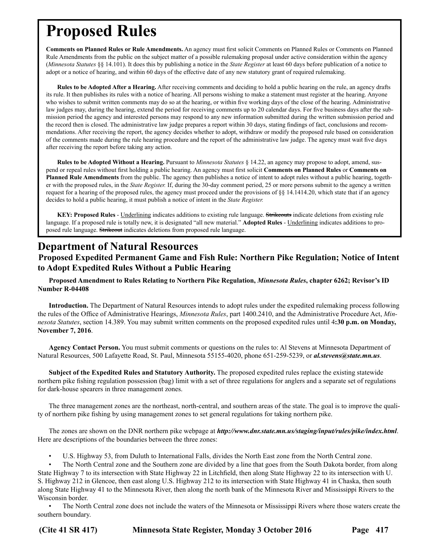<span id="page-4-0"></span>**Comments on Planned Rules or Rule Amendments.** An agency must first solicit Comments on Planned Rules or Comments on Planned Rule Amendments from the public on the subject matter of a possible rulemaking proposal under active consideration within the agency (*Minnesota Statutes* §§ 14.101). It does this by publishing a notice in the *State Register* at least 60 days before publication of a notice to adopt or a notice of hearing, and within 60 days of the effective date of any new statutory grant of required rulemaking.

**Rules to be Adopted After a Hearing.** After receiving comments and deciding to hold a public hearing on the rule, an agency drafts its rule. It then publishes its rules with a notice of hearing. All persons wishing to make a statement must register at the hearing. Anyone who wishes to submit written comments may do so at the hearing, or within five working days of the close of the hearing. Administrative law judges may, during the hearing, extend the period for receiving comments up to 20 calendar days. For five business days after the submission period the agency and interested persons may respond to any new information submitted during the written submission period and the record then is closed. The administrative law judge prepares a report within 30 days, stating findings of fact, conclusions and recommendations. After receiving the report, the agency decides whether to adopt, withdraw or modify the proposed rule based on consideration of the comments made during the rule hearing procedure and the report of the administrative law judge. The agency must wait five days after receiving the report before taking any action.

**Rules to be Adopted Without a Hearing.** Pursuant to *Minnesota Statutes* § 14.22, an agency may propose to adopt, amend, suspend or repeal rules without first holding a public hearing. An agency must first solicit **Comments on Planned Rules** or **Comments on Planned Rule Amendments** from the public. The agency then publishes a notice of intent to adopt rules without a public hearing, together with the proposed rules, in the *State Register.* If, during the 30-day comment period, 25 or more persons submit to the agency a written request for a hearing of the proposed rules, the agency must proceed under the provisions of §§ 14.1414.20, which state that if an agency decides to hold a public hearing, it must publish a notice of intent in the *State Register.*

**KEY: Proposed Rules** - Underlining indicates additions to existing rule language. Strikeouts indicate deletions from existing rule language. If a proposed rule is totally new, it is designated "all new material." **Adopted Rules** - Underlining indicates additions to proposed rule language. Strikeout indicates deletions from proposed rule language.

### **Department of Natural Resources**

#### **Proposed Expedited Permanent Game and Fish Rule: Northern Pike Regulation; Notice of Intent to Adopt Expedited Rules Without a Public Hearing**

**Proposed Amendment to Rules Relating to Northern Pike Regulation,** *Minnesota Rules***, chapter 6262; Revisor's ID Number R-04408**

**Introduction.** The Department of Natural Resources intends to adopt rules under the expedited rulemaking process following the rules of the Office of Administrative Hearings, *Minnesota Rules*, part 1400.2410, and the Administrative Procedure Act, *Minnesota Statutes*, section 14.389. You may submit written comments on the proposed expedited rules until 4**:30 p.m. on Monday, November 7, 2016**.

**Agency Contact Person.** You must submit comments or questions on the rules to: Al Stevens at Minnesota Department of Natural Resources, 500 Lafayette Road, St. Paul, Minnesota 55155-4020, phone 651-259-5239, or *al.stevens@state.mn.us*.

**Subject of the Expedited Rules and Statutory Authority.** The proposed expedited rules replace the existing statewide northern pike fishing regulation possession (bag) limit with a set of three regulations for anglers and a separate set of regulations for dark-house spearers in three management zones.

The three management zones are the northeast, north-central, and southern areas of the state. The goal is to improve the quality of northern pike fishing by using management zones to set general regulations for taking northern pike.

The zones are shown on the DNR northern pike webpage at *<http://www.dnr.state.mn.us/staging/input/rules/pike/index.html>*. Here are descriptions of the boundaries between the three zones:

U.S. Highway 53, from Duluth to International Falls, divides the North East zone from the North Central zone.

• The North Central zone and the Southern zone are divided by a line that goes from the South Dakota border, from along State Highway 7 to its intersection with State Highway 22 in Litchfield, then along State Highway 22 to its intersection with U. S. Highway 212 in Glencoe, then east along U.S. Highway 212 to its intersection with State Highway 41 in Chaska, then south along State Highway 41 to the Minnesota River, then along the north bank of the Minnesota River and Mississippi Rivers to the Wisconsin border.

• The North Central zone does not include the waters of the Minnesota or Mississippi Rivers where those waters create the southern boundary.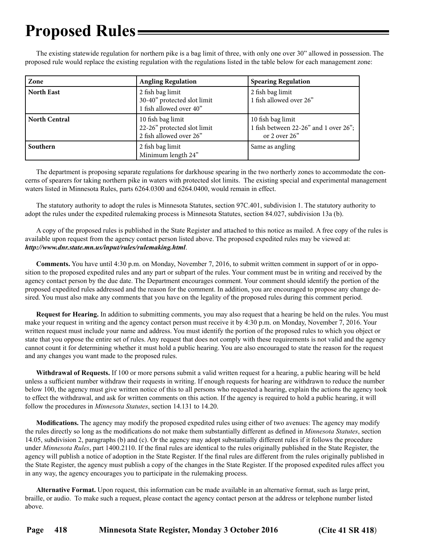The existing statewide regulation for northern pike is a bag limit of three, with only one over 30" allowed in possession. The proposed rule would replace the existing regulation with the regulations listed in the table below for each management zone:

| Zone                 | <b>Angling Regulation</b>                                                   | <b>Spearing Regulation</b>                                                    |
|----------------------|-----------------------------------------------------------------------------|-------------------------------------------------------------------------------|
| <b>North East</b>    | 2 fish bag limit<br>30-40" protected slot limit<br>1 fish allowed over 40"  | 2 fish bag limit<br>1 fish allowed over 26"                                   |
| <b>North Central</b> | 10 fish bag limit<br>22-26" protected slot limit<br>2 fish allowed over 26" | 10 fish bag limit<br>1 fish between 22-26" and 1 over 26";<br>or 2 over $26"$ |
| Southern             | 2 fish bag limit<br>Minimum length 24"                                      | Same as angling                                                               |

The department is proposing separate regulations for darkhouse spearing in the two northerly zones to accommodate the concerns of spearers for taking northern pike in waters with protected slot limits. The existing special and experimental management waters listed in Minnesota Rules, parts 6264.0300 and 6264.0400, would remain in effect.

The statutory authority to adopt the rules is Minnesota Statutes, section 97C.401, subdivision 1. The statutory authority to adopt the rules under the expedited rulemaking process is Minnesota Statutes, section 84.027, subdivision 13a (b).

A copy of the proposed rules is published in the State Register and attached to this notice as mailed. A free copy of the rules is available upon request from the agency contact person listed above. The proposed expedited rules may be viewed at: *<http://www.dnr.state.mn.us/input/rules/rulemaking.html>*.

**Comments.** You have until 4:30 p.m. on Monday, November 7, 2016, to submit written comment in support of or in opposition to the proposed expedited rules and any part or subpart of the rules. Your comment must be in writing and received by the agency contact person by the due date. The Department encourages comment. Your comment should identify the portion of the proposed expedited rules addressed and the reason for the comment. In addition, you are encouraged to propose any change desired. You must also make any comments that you have on the legality of the proposed rules during this comment period.

**Request for Hearing.** In addition to submitting comments, you may also request that a hearing be held on the rules. You must make your request in writing and the agency contact person must receive it by 4:30 p.m. on Monday, November 7, 2016. Your written request must include your name and address. You must identify the portion of the proposed rules to which you object or state that you oppose the entire set of rules. Any request that does not comply with these requirements is not valid and the agency cannot count it for determining whether it must hold a public hearing. You are also encouraged to state the reason for the request and any changes you want made to the proposed rules.

**Withdrawal of Requests.** If 100 or more persons submit a valid written request for a hearing, a public hearing will be held unless a sufficient number withdraw their requests in writing. If enough requests for hearing are withdrawn to reduce the number below 100, the agency must give written notice of this to all persons who requested a hearing, explain the actions the agency took to effect the withdrawal, and ask for written comments on this action. If the agency is required to hold a public hearing, it will follow the procedures in *Minnesota Statutes*, section 14.131 to 14.20.

**Modifications.** The agency may modify the proposed expedited rules using either of two avenues: The agency may modify the rules directly so long as the modifications do not make them substantially different as defined in *Minnesota Statutes*, section 14.05, subdivision 2, paragraphs (b) and (c). Or the agency may adopt substantially different rules if it follows the procedure under *Minnesota Rules*, part 1400.2110. If the final rules are identical to the rules originally published in the State Register, the agency will publish a notice of adoption in the State Register. If the final rules are different from the rules originally published in the State Register, the agency must publish a copy of the changes in the State Register. If the proposed expedited rules affect you in any way, the agency encourages you to participate in the rulemaking process.

**Alternative Format.** Upon request, this information can be made available in an alternative format, such as large print, braille, or audio. To make such a request, please contact the agency contact person at the address or telephone number listed above.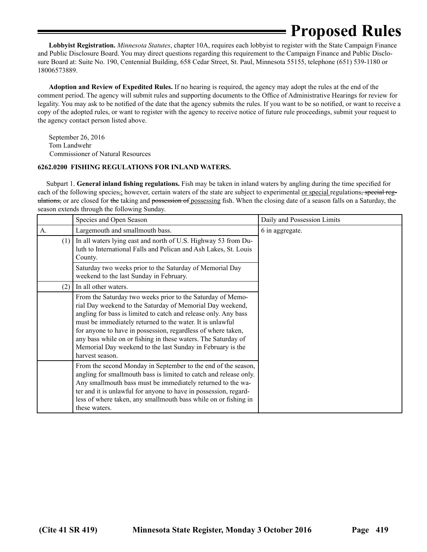**Lobbyist Registration.** *Minnesota Statutes*, chapter 10A, requires each lobbyist to register with the State Campaign Finance and Public Disclosure Board. You may direct questions regarding this requirement to the Campaign Finance and Public Disclosure Board at: Suite No. 190, Centennial Building, 658 Cedar Street, St. Paul, Minnesota 55155, telephone (651) 539-1180 or 18006573889.

**Adoption and Review of Expedited Rules.** If no hearing is required, the agency may adopt the rules at the end of the comment period. The agency will submit rules and supporting documents to the Office of Administrative Hearings for review for legality. You may ask to be notified of the date that the agency submits the rules. If you want to be so notified, or want to receive a copy of the adopted rules, or want to register with the agency to receive notice of future rule proceedings, submit your request to the agency contact person listed above.

September 26, 2016 Tom Landwehr Commissioner of Natural Resources

#### **6262.0200 FISHING REGULATIONS FOR INLAND WATERS.**

 Subpart 1. **General inland fishing regulations.** Fish may be taken in inland waters by angling during the time specified for each of the following species, however, certain waters of the state are subject to experimental <u>or special</u> regulations, special regulations, or are closed for the taking and possession of possessing fish. When the closing date of a season falls on a Saturday, the season extends through the following Sunday.

|     | Species and Open Season                                                                                                                                                                                                                                                                                                                                                                                                                                                   | Daily and Possession Limits |
|-----|---------------------------------------------------------------------------------------------------------------------------------------------------------------------------------------------------------------------------------------------------------------------------------------------------------------------------------------------------------------------------------------------------------------------------------------------------------------------------|-----------------------------|
| A.  | Largemouth and smallmouth bass.                                                                                                                                                                                                                                                                                                                                                                                                                                           | 6 in aggregate.             |
| (1) | In all waters lying east and north of U.S. Highway 53 from Du-<br>luth to International Falls and Pelican and Ash Lakes, St. Louis<br>County.                                                                                                                                                                                                                                                                                                                             |                             |
|     | Saturday two weeks prior to the Saturday of Memorial Day<br>weekend to the last Sunday in February.                                                                                                                                                                                                                                                                                                                                                                       |                             |
| (2) | In all other waters.                                                                                                                                                                                                                                                                                                                                                                                                                                                      |                             |
|     | From the Saturday two weeks prior to the Saturday of Memo-<br>rial Day weekend to the Saturday of Memorial Day weekend,<br>angling for bass is limited to catch and release only. Any bass<br>must be immediately returned to the water. It is unlawful<br>for anyone to have in possession, regardless of where taken,<br>any bass while on or fishing in these waters. The Saturday of<br>Memorial Day weekend to the last Sunday in February is the<br>harvest season. |                             |
|     | From the second Monday in September to the end of the season,<br>angling for smallmouth bass is limited to catch and release only.<br>Any smallmouth bass must be immediately returned to the wa-<br>ter and it is unlawful for anyone to have in possession, regard-<br>less of where taken, any smallmouth bass while on or fishing in<br>these waters.                                                                                                                 |                             |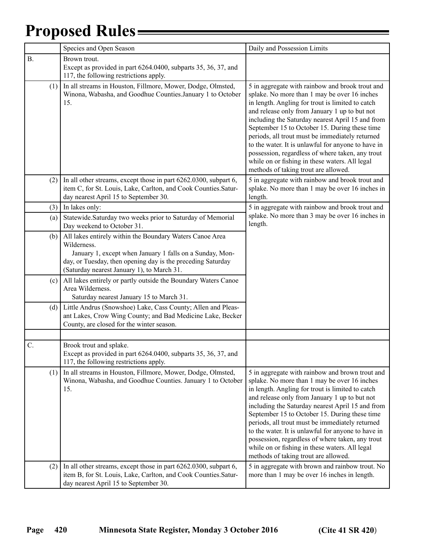|           | Species and Open Season                                                                                                                                                                                                                          | Daily and Possession Limits                                                                                                                                                                                                                                                                                                                                                                                                                                                                                                                                      |
|-----------|--------------------------------------------------------------------------------------------------------------------------------------------------------------------------------------------------------------------------------------------------|------------------------------------------------------------------------------------------------------------------------------------------------------------------------------------------------------------------------------------------------------------------------------------------------------------------------------------------------------------------------------------------------------------------------------------------------------------------------------------------------------------------------------------------------------------------|
| <b>B.</b> | Brown trout.<br>Except as provided in part 6264.0400, subparts 35, 36, 37, and<br>117, the following restrictions apply.                                                                                                                         |                                                                                                                                                                                                                                                                                                                                                                                                                                                                                                                                                                  |
| (1)       | In all streams in Houston, Fillmore, Mower, Dodge, Olmsted,<br>Winona, Wabasha, and Goodhue Counties.January 1 to October<br>15.                                                                                                                 | 5 in aggregate with rainbow and brook trout and<br>splake. No more than 1 may be over 16 inches<br>in length. Angling for trout is limited to catch<br>and release only from January 1 up to but not<br>including the Saturday nearest April 15 and from<br>September 15 to October 15. During these time<br>periods, all trout must be immediately returned<br>to the water. It is unlawful for anyone to have in<br>possession, regardless of where taken, any trout<br>while on or fishing in these waters. All legal<br>methods of taking trout are allowed. |
| (2)       | In all other streams, except those in part 6262.0300, subpart 6,<br>item C, for St. Louis, Lake, Carlton, and Cook Counties.Satur-<br>day nearest April 15 to September 30.                                                                      | 5 in aggregate with rainbow and brook trout and<br>splake. No more than 1 may be over 16 inches in<br>length.                                                                                                                                                                                                                                                                                                                                                                                                                                                    |
| (3)       | In lakes only:                                                                                                                                                                                                                                   | 5 in aggregate with rainbow and brook trout and                                                                                                                                                                                                                                                                                                                                                                                                                                                                                                                  |
| (a)       | Statewide.Saturday two weeks prior to Saturday of Memorial<br>Day weekend to October 31.                                                                                                                                                         | splake. No more than 3 may be over 16 inches in<br>length.                                                                                                                                                                                                                                                                                                                                                                                                                                                                                                       |
| (b)       | All lakes entirely within the Boundary Waters Canoe Area<br>Wilderness.<br>January 1, except when January 1 falls on a Sunday, Mon-<br>day, or Tuesday, then opening day is the preceding Saturday<br>(Saturday nearest January 1), to March 31. |                                                                                                                                                                                                                                                                                                                                                                                                                                                                                                                                                                  |
| (c)       | All lakes entirely or partly outside the Boundary Waters Canoe<br>Area Wilderness.<br>Saturday nearest January 15 to March 31.                                                                                                                   |                                                                                                                                                                                                                                                                                                                                                                                                                                                                                                                                                                  |
| (d)       | Little Andrus (Snowshoe) Lake, Cass County; Allen and Pleas-<br>ant Lakes, Crow Wing County; and Bad Medicine Lake, Becker<br>County, are closed for the winter season.                                                                          |                                                                                                                                                                                                                                                                                                                                                                                                                                                                                                                                                                  |
|           |                                                                                                                                                                                                                                                  |                                                                                                                                                                                                                                                                                                                                                                                                                                                                                                                                                                  |
| C.        | Brook trout and splake.<br>Except as provided in part 6264.0400, subparts 35, 36, 37, and<br>117, the following restrictions apply.                                                                                                              |                                                                                                                                                                                                                                                                                                                                                                                                                                                                                                                                                                  |
| (1)       | In all streams in Houston, Fillmore, Mower, Dodge, Olmsted,<br>Winona, Wabasha, and Goodhue Counties. January 1 to October<br>15.                                                                                                                | 5 in aggregate with rainbow and brown trout and<br>splake. No more than 1 may be over 16 inches<br>in length. Angling for trout is limited to catch<br>and release only from January 1 up to but not<br>including the Saturday nearest April 15 and from<br>September 15 to October 15. During these time<br>periods, all trout must be immediately returned<br>to the water. It is unlawful for anyone to have in<br>possession, regardless of where taken, any trout<br>while on or fishing in these waters. All legal<br>methods of taking trout are allowed. |
| (2)       | In all other streams, except those in part 6262.0300, subpart 6,<br>item B, for St. Louis, Lake, Carlton, and Cook Counties.Satur-<br>day nearest April 15 to September 30.                                                                      | 5 in aggregate with brown and rainbow trout. No<br>more than 1 may be over 16 inches in length.                                                                                                                                                                                                                                                                                                                                                                                                                                                                  |

Ξ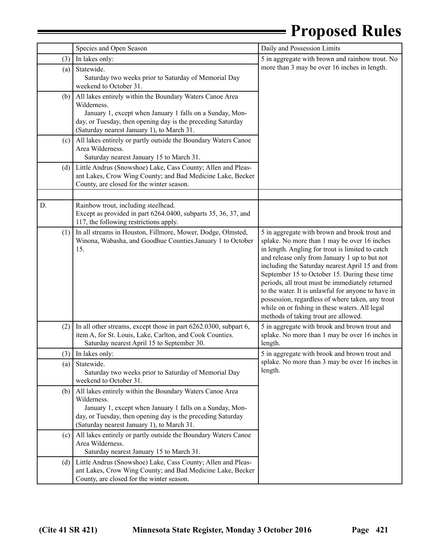|    |     | Species and Open Season                                                                                                                                                                                                                          | Daily and Possession Limits                                                                                                                                                                                                                                                                                                                                                                                                                                                                                                                                    |  |
|----|-----|--------------------------------------------------------------------------------------------------------------------------------------------------------------------------------------------------------------------------------------------------|----------------------------------------------------------------------------------------------------------------------------------------------------------------------------------------------------------------------------------------------------------------------------------------------------------------------------------------------------------------------------------------------------------------------------------------------------------------------------------------------------------------------------------------------------------------|--|
|    | (3) | In lakes only:                                                                                                                                                                                                                                   | 5 in aggregate with brown and rainbow trout. No                                                                                                                                                                                                                                                                                                                                                                                                                                                                                                                |  |
|    | (a) | Statewide.<br>Saturday two weeks prior to Saturday of Memorial Day<br>weekend to October 31.                                                                                                                                                     | more than 3 may be over 16 inches in length.                                                                                                                                                                                                                                                                                                                                                                                                                                                                                                                   |  |
|    | (b) | All lakes entirely within the Boundary Waters Canoe Area<br>Wilderness.<br>January 1, except when January 1 falls on a Sunday, Mon-<br>day, or Tuesday, then opening day is the preceding Saturday<br>(Saturday nearest January 1), to March 31. |                                                                                                                                                                                                                                                                                                                                                                                                                                                                                                                                                                |  |
|    | (c) | All lakes entirely or partly outside the Boundary Waters Canoe<br>Area Wilderness.<br>Saturday nearest January 15 to March 31.                                                                                                                   |                                                                                                                                                                                                                                                                                                                                                                                                                                                                                                                                                                |  |
|    | (d) | Little Andrus (Snowshoe) Lake, Cass County; Allen and Pleas-<br>ant Lakes, Crow Wing County; and Bad Medicine Lake, Becker<br>County, are closed for the winter season.                                                                          |                                                                                                                                                                                                                                                                                                                                                                                                                                                                                                                                                                |  |
|    |     |                                                                                                                                                                                                                                                  |                                                                                                                                                                                                                                                                                                                                                                                                                                                                                                                                                                |  |
| D. |     | Rainbow trout, including steelhead.<br>Except as provided in part 6264.0400, subparts 35, 36, 37, and<br>117, the following restrictions apply.                                                                                                  |                                                                                                                                                                                                                                                                                                                                                                                                                                                                                                                                                                |  |
|    | (1) | In all streams in Houston, Fillmore, Mower, Dodge, Olmsted,<br>Winona, Wabasha, and Goodhue Counties. January 1 to October<br>15.                                                                                                                | 5 in aggregate with brown and brook trout and<br>splake. No more than 1 may be over 16 inches<br>in length. Angling for trout is limited to catch<br>and release only from January 1 up to but not<br>including the Saturday nearest April 15 and from<br>September 15 to October 15. During these time<br>periods, all trout must be immediately returned<br>to the water. It is unlawful for anyone to have in<br>possession, regardless of where taken, any trout<br>while on or fishing in these waters. All legal<br>methods of taking trout are allowed. |  |
|    | (2) | In all other streams, except those in part 6262.0300, subpart 6,<br>item A, for St. Louis, Lake, Carlton, and Cook Counties.<br>Saturday nearest April 15 to September 30.                                                                       | 5 in aggregate with brook and brown trout and<br>splake. No more than 1 may be over 16 inches in<br>length.                                                                                                                                                                                                                                                                                                                                                                                                                                                    |  |
|    |     | $(3)$ In lakes only:                                                                                                                                                                                                                             | 5 in aggregate with brook and brown trout and                                                                                                                                                                                                                                                                                                                                                                                                                                                                                                                  |  |
|    | (a) | Statewide.<br>Saturday two weeks prior to Saturday of Memorial Day<br>weekend to October 31.                                                                                                                                                     | splake. No more than 3 may be over 16 inches in<br>length.                                                                                                                                                                                                                                                                                                                                                                                                                                                                                                     |  |
|    | (b) | All lakes entirely within the Boundary Waters Canoe Area<br>Wilderness.<br>January 1, except when January 1 falls on a Sunday, Mon-<br>day, or Tuesday, then opening day is the preceding Saturday<br>(Saturday nearest January 1), to March 31. |                                                                                                                                                                                                                                                                                                                                                                                                                                                                                                                                                                |  |
|    | (c) | All lakes entirely or partly outside the Boundary Waters Canoe<br>Area Wilderness.<br>Saturday nearest January 15 to March 31.                                                                                                                   |                                                                                                                                                                                                                                                                                                                                                                                                                                                                                                                                                                |  |
|    | (d) | Little Andrus (Snowshoe) Lake, Cass County; Allen and Pleas-<br>ant Lakes, Crow Wing County; and Bad Medicine Lake, Becker<br>County, are closed for the winter season.                                                                          |                                                                                                                                                                                                                                                                                                                                                                                                                                                                                                                                                                |  |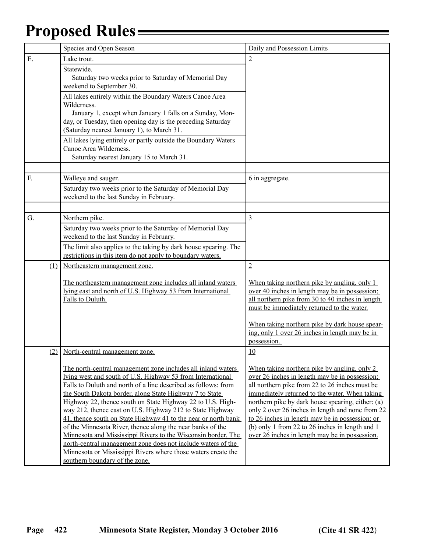|     | Species and Open Season                                                                                                                                                                                                                                                                                                                                                                                                                                                                                                                                                                                                                                                                                                                                | Daily and Possession Limits                                                                                                                                                                                                                                                                                                                                                                                                                                         |
|-----|--------------------------------------------------------------------------------------------------------------------------------------------------------------------------------------------------------------------------------------------------------------------------------------------------------------------------------------------------------------------------------------------------------------------------------------------------------------------------------------------------------------------------------------------------------------------------------------------------------------------------------------------------------------------------------------------------------------------------------------------------------|---------------------------------------------------------------------------------------------------------------------------------------------------------------------------------------------------------------------------------------------------------------------------------------------------------------------------------------------------------------------------------------------------------------------------------------------------------------------|
| Ε.  | Lake trout.                                                                                                                                                                                                                                                                                                                                                                                                                                                                                                                                                                                                                                                                                                                                            | $\overline{2}$                                                                                                                                                                                                                                                                                                                                                                                                                                                      |
|     | Statewide.<br>Saturday two weeks prior to Saturday of Memorial Day<br>weekend to September 30.                                                                                                                                                                                                                                                                                                                                                                                                                                                                                                                                                                                                                                                         |                                                                                                                                                                                                                                                                                                                                                                                                                                                                     |
|     | All lakes entirely within the Boundary Waters Canoe Area<br>Wilderness.<br>January 1, except when January 1 falls on a Sunday, Mon-<br>day, or Tuesday, then opening day is the preceding Saturday<br>(Saturday nearest January 1), to March 31.                                                                                                                                                                                                                                                                                                                                                                                                                                                                                                       |                                                                                                                                                                                                                                                                                                                                                                                                                                                                     |
|     | All lakes lying entirely or partly outside the Boundary Waters<br>Canoe Area Wilderness.<br>Saturday nearest January 15 to March 31.                                                                                                                                                                                                                                                                                                                                                                                                                                                                                                                                                                                                                   |                                                                                                                                                                                                                                                                                                                                                                                                                                                                     |
| F.  | Walleye and sauger.                                                                                                                                                                                                                                                                                                                                                                                                                                                                                                                                                                                                                                                                                                                                    | 6 in aggregate.                                                                                                                                                                                                                                                                                                                                                                                                                                                     |
|     | Saturday two weeks prior to the Saturday of Memorial Day<br>weekend to the last Sunday in February.                                                                                                                                                                                                                                                                                                                                                                                                                                                                                                                                                                                                                                                    |                                                                                                                                                                                                                                                                                                                                                                                                                                                                     |
|     |                                                                                                                                                                                                                                                                                                                                                                                                                                                                                                                                                                                                                                                                                                                                                        |                                                                                                                                                                                                                                                                                                                                                                                                                                                                     |
| G.  | Northern pike.                                                                                                                                                                                                                                                                                                                                                                                                                                                                                                                                                                                                                                                                                                                                         | $\overline{\mathbf{z}}$                                                                                                                                                                                                                                                                                                                                                                                                                                             |
|     | Saturday two weeks prior to the Saturday of Memorial Day<br>weekend to the last Sunday in February.                                                                                                                                                                                                                                                                                                                                                                                                                                                                                                                                                                                                                                                    |                                                                                                                                                                                                                                                                                                                                                                                                                                                                     |
|     | The limit also applies to the taking by dark house spearing. The<br>restrictions in this item do not apply to boundary waters.                                                                                                                                                                                                                                                                                                                                                                                                                                                                                                                                                                                                                         |                                                                                                                                                                                                                                                                                                                                                                                                                                                                     |
| (1) | Northeastern management zone.                                                                                                                                                                                                                                                                                                                                                                                                                                                                                                                                                                                                                                                                                                                          | $\overline{2}$                                                                                                                                                                                                                                                                                                                                                                                                                                                      |
|     | The northeastern management zone includes all inland waters<br>lying east and north of U.S. Highway 53 from International<br>Falls to Duluth.                                                                                                                                                                                                                                                                                                                                                                                                                                                                                                                                                                                                          | When taking northern pike by angling, only 1<br>over 40 inches in length may be in possession;<br>all northern pike from 30 to 40 inches in length<br>must be immediately returned to the water.<br>When taking northern pike by dark house spear-<br>ing, only 1 over 26 inches in length may be in                                                                                                                                                                |
|     |                                                                                                                                                                                                                                                                                                                                                                                                                                                                                                                                                                                                                                                                                                                                                        | possession.                                                                                                                                                                                                                                                                                                                                                                                                                                                         |
|     | (2) North-central management zone.                                                                                                                                                                                                                                                                                                                                                                                                                                                                                                                                                                                                                                                                                                                     | 10                                                                                                                                                                                                                                                                                                                                                                                                                                                                  |
|     | The north-central management zone includes all inland waters<br>lying west and south of U.S. Highway 53 from International<br>Falls to Duluth and north of a line described as follows: from<br>the South Dakota border, along State Highway 7 to State<br>Highway 22, thence south on State Highway 22 to U.S. High-<br>way 212, thence east on U.S. Highway 212 to State Highway<br>41, thence south on State Highway 41 to the near or north bank<br>of the Minnesota River, thence along the near banks of the<br>Minnesota and Mississippi Rivers to the Wisconsin border. The<br>north-central management zone does not include waters of the<br>Minnesota or Mississippi Rivers where those waters create the<br>southern boundary of the zone. | When taking northern pike by angling, only 2<br>over 26 inches in length may be in possession;<br>all northern pike from 22 to 26 inches must be<br>immediately returned to the water. When taking<br>northern pike by dark house spearing, either: (a)<br>only 2 over 26 inches in length and none from 22<br>to 26 inches in length may be in possession; or<br>(b) only 1 from 22 to 26 inches in length and 1<br>over 26 inches in length may be in possession. |

Ξ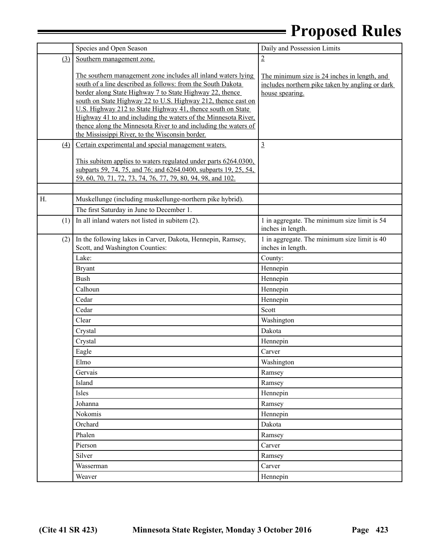|     | Species and Open Season                                                                                                                                                                                                                                                                                                                                                                                                                                                                                          | Daily and Possession Limits                                                                                        |
|-----|------------------------------------------------------------------------------------------------------------------------------------------------------------------------------------------------------------------------------------------------------------------------------------------------------------------------------------------------------------------------------------------------------------------------------------------------------------------------------------------------------------------|--------------------------------------------------------------------------------------------------------------------|
| (3) | Southern management zone.                                                                                                                                                                                                                                                                                                                                                                                                                                                                                        | $\overline{2}$                                                                                                     |
|     | The southern management zone includes all inland waters lying<br>south of a line described as follows: from the South Dakota<br>border along State Highway 7 to State Highway 22, thence<br>south on State Highway 22 to U.S. Highway 212, thence east on<br>U.S. Highway 212 to State Highway 41, thence south on State<br>Highway 41 to and including the waters of the Minnesota River,<br>thence along the Minnesota River to and including the waters of<br>the Mississippi River, to the Wisconsin border. | The minimum size is 24 inches in length, and<br>includes northern pike taken by angling or dark<br>house spearing. |
| (4) | Certain experimental and special management waters.                                                                                                                                                                                                                                                                                                                                                                                                                                                              | $\overline{3}$                                                                                                     |
|     | This subitem applies to waters regulated under parts 6264.0300,<br>subparts 59, 74, 75, and 76; and 6264.0400, subparts 19, 25, 54,<br>59, 60, 70, 71, 72, 73, 74, 76, 77, 79, 80, 94, 98, and 102.                                                                                                                                                                                                                                                                                                              |                                                                                                                    |
| Н.  | Muskellunge (including muskellunge-northern pike hybrid).                                                                                                                                                                                                                                                                                                                                                                                                                                                        |                                                                                                                    |
|     | The first Saturday in June to December 1.                                                                                                                                                                                                                                                                                                                                                                                                                                                                        |                                                                                                                    |
| (1) | In all inland waters not listed in subitem (2).                                                                                                                                                                                                                                                                                                                                                                                                                                                                  | 1 in aggregate. The minimum size limit is 54<br>inches in length.                                                  |
| (2) | In the following lakes in Carver, Dakota, Hennepin, Ramsey,<br>Scott, and Washington Counties:                                                                                                                                                                                                                                                                                                                                                                                                                   | 1 in aggregate. The minimum size limit is 40<br>inches in length.                                                  |
|     | Lake:                                                                                                                                                                                                                                                                                                                                                                                                                                                                                                            | County:                                                                                                            |
|     | <b>Bryant</b>                                                                                                                                                                                                                                                                                                                                                                                                                                                                                                    | Hennepin                                                                                                           |
|     | <b>Bush</b>                                                                                                                                                                                                                                                                                                                                                                                                                                                                                                      | Hennepin                                                                                                           |
|     | Calhoun                                                                                                                                                                                                                                                                                                                                                                                                                                                                                                          | Hennepin                                                                                                           |
|     | Cedar                                                                                                                                                                                                                                                                                                                                                                                                                                                                                                            | Hennepin                                                                                                           |
|     | Cedar                                                                                                                                                                                                                                                                                                                                                                                                                                                                                                            | Scott                                                                                                              |
|     | Clear                                                                                                                                                                                                                                                                                                                                                                                                                                                                                                            | Washington                                                                                                         |
|     | Crystal                                                                                                                                                                                                                                                                                                                                                                                                                                                                                                          | Dakota                                                                                                             |
|     | Crystal                                                                                                                                                                                                                                                                                                                                                                                                                                                                                                          | Hennepin                                                                                                           |
|     | Eagle                                                                                                                                                                                                                                                                                                                                                                                                                                                                                                            | Carver                                                                                                             |
|     | Elmo                                                                                                                                                                                                                                                                                                                                                                                                                                                                                                             | Washington                                                                                                         |
|     | Gervais                                                                                                                                                                                                                                                                                                                                                                                                                                                                                                          | Ramsey                                                                                                             |
|     | Island                                                                                                                                                                                                                                                                                                                                                                                                                                                                                                           | Ramsey                                                                                                             |
|     | Isles                                                                                                                                                                                                                                                                                                                                                                                                                                                                                                            | Hennepin                                                                                                           |
|     | Johanna                                                                                                                                                                                                                                                                                                                                                                                                                                                                                                          | Ramsey                                                                                                             |
|     | Nokomis                                                                                                                                                                                                                                                                                                                                                                                                                                                                                                          | Hennepin                                                                                                           |
|     | Orchard                                                                                                                                                                                                                                                                                                                                                                                                                                                                                                          | Dakota                                                                                                             |
|     | Phalen                                                                                                                                                                                                                                                                                                                                                                                                                                                                                                           | Ramsey                                                                                                             |
|     | Pierson                                                                                                                                                                                                                                                                                                                                                                                                                                                                                                          | Carver                                                                                                             |
|     | Silver                                                                                                                                                                                                                                                                                                                                                                                                                                                                                                           | Ramsey                                                                                                             |
|     | Wasserman                                                                                                                                                                                                                                                                                                                                                                                                                                                                                                        | Carver                                                                                                             |
|     | Weaver                                                                                                                                                                                                                                                                                                                                                                                                                                                                                                           | Hennepin                                                                                                           |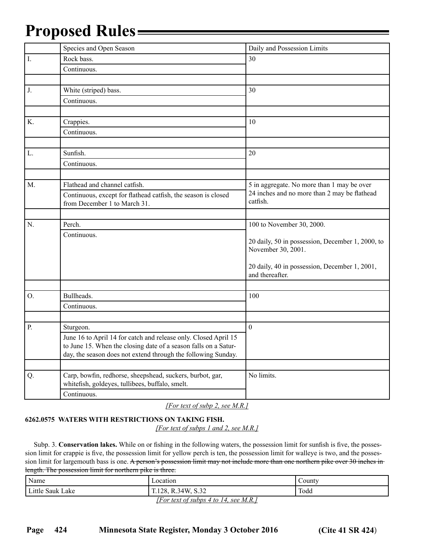|                | Species and Open Season                                                                                      | Daily and Possession Limits                                      |
|----------------|--------------------------------------------------------------------------------------------------------------|------------------------------------------------------------------|
| $\mathbf{I}$ . | Rock bass.                                                                                                   | 30                                                               |
|                | Continuous.                                                                                                  |                                                                  |
|                |                                                                                                              |                                                                  |
| J.             | White (striped) bass.                                                                                        | 30                                                               |
|                | Continuous.                                                                                                  |                                                                  |
|                |                                                                                                              |                                                                  |
| K.             | Crappies.                                                                                                    | 10                                                               |
|                | Continuous.                                                                                                  |                                                                  |
|                |                                                                                                              |                                                                  |
| L.             | Sunfish.                                                                                                     | 20                                                               |
|                | Continuous.                                                                                                  |                                                                  |
|                |                                                                                                              |                                                                  |
| M.             | Flathead and channel catfish.                                                                                | 5 in aggregate. No more than 1 may be over                       |
|                | Continuous, except for flathead catfish, the season is closed                                                | 24 inches and no more than 2 may be flathead<br>catfish.         |
|                | from December 1 to March 31.                                                                                 |                                                                  |
|                |                                                                                                              |                                                                  |
| N.             | Perch.                                                                                                       | 100 to November 30, 2000.                                        |
|                | Continuous.                                                                                                  | 20 daily, 50 in possession, December 1, 2000, to                 |
|                |                                                                                                              | November 30, 2001.                                               |
|                |                                                                                                              |                                                                  |
|                |                                                                                                              | 20 daily, 40 in possession, December 1, 2001,<br>and thereafter. |
|                |                                                                                                              |                                                                  |
| O.             | Bullheads.                                                                                                   | 100                                                              |
|                | Continuous.                                                                                                  |                                                                  |
|                |                                                                                                              |                                                                  |
| P.             | Sturgeon.                                                                                                    | $\mathbf{0}$                                                     |
|                | June 16 to April 14 for catch and release only. Closed April 15                                              |                                                                  |
|                | to June 15. When the closing date of a season falls on a Satur-                                              |                                                                  |
|                | day, the season does not extend through the following Sunday.                                                |                                                                  |
|                |                                                                                                              |                                                                  |
| Q.             | Carp, bowfin, redhorse, sheepshead, suckers, burbot, gar,<br>whitefish, goldeyes, tullibees, buffalo, smelt. | No limits.                                                       |
|                | Continuous.                                                                                                  |                                                                  |
|                |                                                                                                              |                                                                  |

*[For text of subp 2, see M.R.]*

#### **6262.0575 WATERS WITH RESTRICTIONS ON TAKING FISH.**

*[For text of subps 1 and 2, see M.R.]*

 Subp. 3. **Conservation lakes.** While on or fishing in the following waters, the possession limit for sunfish is five, the possession limit for crappie is five, the possession limit for yellow perch is ten, the possession limit for walleye is two, and the possession limit for largemouth bass is one. A person's possession limit may not include more than one northern pike over 30 inches in length. The possession limit for northern pike is three.

| Name             | Location                              | County |
|------------------|---------------------------------------|--------|
| Little Sauk Lake | , R.34W, S.32<br>T.128.               | Todd   |
|                  | [For text of subps 4 to 14, see M.R.] |        |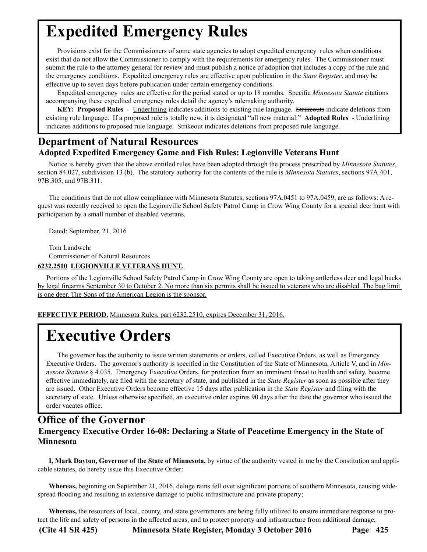# <span id="page-12-0"></span>**Expedited Emergency Rules**

Provisions exist for the Commissioners of some state agencies to adopt expedited emergency rules when conditions exist that do not allow the Commissioner to comply with the requirements for emergency rules. The Commissioner must submit the rule to the attorney general for review and must publish a notice of adoption that includes a copy of the rule and the emergency conditions. Expedited emergency rules are effective upon publication in the *State Register*, and may be effective up to seven days before publication under certain emergency conditions.

Expedited emergency rules are effective for the period stated or up to 18 months. Specific *Minnesota Statute* citations accompanying these expedited emergency rules detail the agency's rulemaking authority.

**KEY: Proposed Rules** - Underlining indicates additions to existing rule language. Strikeouts indicate deletions from existing rule language. If a proposed rule is totally new, it is designated "all new material." **Adopted Rules** - Underlining indicates additions to proposed rule language. Strikeout indicates deletions from proposed rule language.

### **Department of Natural Resources Adopted Expedited Emergency Game and Fish Rules: Legionville Veterans Hunt**

Notice is hereby given that the above entitled rules have been adopted through the process prescribed by *Minnesota Statutes*, section 84.027, subdivision 13 (b). The statutory authority for the contents of the rule is *Minnesota Statutes*, sections 97A.401, 97B.305, and 97B.311.

The conditions that do not allow compliance with Minnesota Statutes, sections 97A.0451 to 97A.0459, are as follows: A request was recently received to open the Legionville School Safety Patrol Camp in Crow Wing County for a special deer hunt with participation by a small number of disabled veterans.

Dated: September, 21, 2016

Tom Landwehr Commissioner of Natural Resources

#### **6232.2510 LEGIONVILLE VETERANS HUNT.**

 Portions of the Legionville School Safety Patrol Camp in Crow Wing County are open to taking antlerless deer and legal bucks by legal firearms September 30 to October 2. No more than six permits shall be issued to veterans who are disabled. The bag limit is one deer. The Sons of the American Legion is the sponsor.

**EFFECTIVE PERIOD.** Minnesota Rules, part 6232.2510, expires December 31, 2016.

# **Executive Orders**

The governor has the authority to issue written statements or orders, called Executive Orders. as well as Emergency Executive Orders. The governor's authority is specified in the Constitution of the State of Minnesota, Article V, and in *Minnesota Statutes* § 4.035. Emergency Executive Orders, for protection from an imminent threat to health and safety, become effective immediately, are filed with the secretary of state, and published in the *State Register* as soon as possible after they are issued. Other Executive Orders become effective 15 days after publication in the *State Register* and filing with the secretary of state. Unless otherwise specified, an executive order expires 90 days after the date the governor who issued the order vacates office.

### **Office of the Governor Emergency Executive Order 16-08: Declaring a State of Peacetime Emergency in the State of Minnesota**

**I, Mark Dayton, Governor of the State of Minnesota,** by virtue of the authority vested in me by the Constitution and applicable statutes, do hereby issue this Executive Order:

**Whereas,** beginning on September 21, 2016, deluge rains fell over significant portions of southern Minnesota, causing widespread flooding and resulting in extensive damage to public infrastructure and private property;

**Whereas,** the resources of local, county, and state governments are being fully utilized to ensure immediate response to protect the life and safety of persons in the affected areas, and to protect property and infrastructure from additional damage;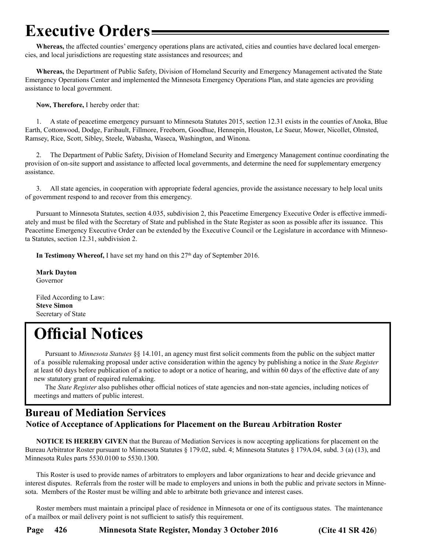# <span id="page-13-0"></span>**Executive Orders**

**Whereas,** the affected counties' emergency operations plans are activated, cities and counties have declared local emergencies, and local jurisdictions are requesting state assistances and resources; and

**Whereas,** the Department of Public Safety, Division of Homeland Security and Emergency Management activated the State Emergency Operations Center and implemented the Minnesota Emergency Operations Plan, and state agencies are providing assistance to local government.

**Now, Therefore,** I hereby order that:

1. A state of peacetime emergency pursuant to Minnesota Statutes 2015, section 12.31 exists in the counties of Anoka, Blue Earth, Cottonwood, Dodge, Faribault, Fillmore, Freeborn, Goodhue, Hennepin, Houston, Le Sueur, Mower, Nicollet, Olmsted, Ramsey, Rice, Scott, Sibley, Steele, Wabasha, Waseca, Washington, and Winona.

2. The Department of Public Safety, Division of Homeland Security and Emergency Management continue coordinating the provision of on-site support and assistance to affected local governments, and determine the need for supplementary emergency assistance.

3. All state agencies, in cooperation with appropriate federal agencies, provide the assistance necessary to help local units of government respond to and recover from this emergency.

Pursuant to Minnesota Statutes, section 4.035, subdivision 2, this Peacetime Emergency Executive Order is effective immediately and must be filed with the Secretary of State and published in the State Register as soon as possible after its issuance. This Peacetime Emergency Executive Order can be extended by the Executive Council or the Legislature in accordance with Minnesota Statutes, section 12.31, subdivision 2.

**In Testimony Whereof,** I have set my hand on this 27<sup>th</sup> day of September 2016.

**Mark Dayton** Governor

Filed According to Law: **Steve Simon** Secretary of State

# **Official Notices**

Pursuant to *Minnesota Statutes* §§ 14.101, an agency must first solicit comments from the public on the subject matter of a possible rulemaking proposal under active consideration within the agency by publishing a notice in the *State Register*  at least 60 days before publication of a notice to adopt or a notice of hearing, and within 60 days of the effective date of any new statutory grant of required rulemaking.

The *State Register* also publishes other official notices of state agencies and non-state agencies, including notices of meetings and matters of public interest.

### **Bureau of Mediation Services Notice of Acceptance of Applications for Placement on the Bureau Arbitration Roster**

**NOTICE IS HEREBY GIVEN** that the Bureau of Mediation Services is now accepting applications for placement on the Bureau Arbitrator Roster pursuant to Minnesota Statutes § 179.02, subd. 4; Minnesota Statutes § 179A.04, subd. 3 (a) (13), and Minnesota Rules parts 5530.0100 to 5530.1300.

This Roster is used to provide names of arbitrators to employers and labor organizations to hear and decide grievance and interest disputes. Referrals from the roster will be made to employers and unions in both the public and private sectors in Minnesota. Members of the Roster must be willing and able to arbitrate both grievance and interest cases.

Roster members must maintain a principal place of residence in Minnesota or one of its contiguous states. The maintenance of a mailbox or mail delivery point is not sufficient to satisfy this requirement.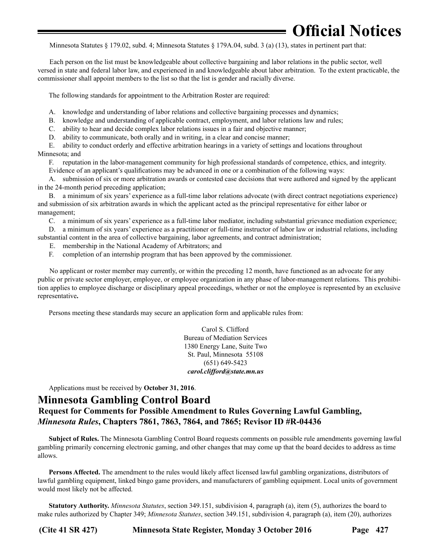<span id="page-14-0"></span>Minnesota Statutes § 179.02, subd. 4; Minnesota Statutes § 179A.04, subd. 3 (a) (13), states in pertinent part that:

Each person on the list must be knowledgeable about collective bargaining and labor relations in the public sector, well versed in state and federal labor law, and experienced in and knowledgeable about labor arbitration. To the extent practicable, the commissioner shall appoint members to the list so that the list is gender and racially diverse.

The following standards for appointment to the Arbitration Roster are required:

A. knowledge and understanding of labor relations and collective bargaining processes and dynamics;

B. knowledge and understanding of applicable contract, employment, and labor relations law and rules;

C. ability to hear and decide complex labor relations issues in a fair and objective manner;

D. ability to communicate, both orally and in writing, in a clear and concise manner;

E. ability to conduct orderly and effective arbitration hearings in a variety of settings and locations throughout Minnesota; and

F. reputation in the labor-management community for high professional standards of competence, ethics, and integrity. Evidence of an applicant's qualifications may be advanced in one or a combination of the following ways:

A. submission of six or more arbitration awards or contested case decisions that were authored and signed by the applicant in the 24-month period preceding application;

B. a minimum of six years' experience as a full-time labor relations advocate (with direct contract negotiations experience) and submission of six arbitration awards in which the applicant acted as the principal representative for either labor or management;

C. a minimum of six years' experience as a full-time labor mediator, including substantial grievance mediation experience;

D. a minimum of six years' experience as a practitioner or full-time instructor of labor law or industrial relations, including substantial content in the area of collective bargaining, labor agreements, and contract administration;

E. membership in the National Academy of Arbitrators; and

F. completion of an internship program that has been approved by the commissioner.

No applicant or roster member may currently, or within the preceding 12 month, have functioned as an advocate for any public or private sector employer, employee, or employee organization in any phase of labor-management relations. This prohibition applies to employee discharge or disciplinary appeal proceedings, whether or not the employee is represented by an exclusive representative**.** 

Persons meeting these standards may secure an application form and applicable rules from:

Carol S. Clifford Bureau of Mediation Services 1380 Energy Lane, Suite Two St. Paul, Minnesota 55108 (651) 649-5423 *carol.clifford@state.mn.us*

Applications must be received by **October 31, 2016**.

### **Minnesota Gambling Control Board Request for Comments for Possible Amendment to Rules Governing Lawful Gambling,**  *Minnesota Rules***, Chapters 7861, 7863, 7864, and 7865; Revisor ID #R-04436**

**Subject of Rules.** The Minnesota Gambling Control Board requests comments on possible rule amendments governing lawful gambling primarily concerning electronic gaming, and other changes that may come up that the board decides to address as time allows.

**Persons Affected.** The amendment to the rules would likely affect licensed lawful gambling organizations, distributors of lawful gambling equipment, linked bingo game providers, and manufacturers of gambling equipment. Local units of government would most likely not be affected.

**Statutory Authority.** *Minnesota Statutes*, section 349.151, subdivision 4, paragraph (a), item (5), authorizes the board to make rules authorized by Chapter 349; *Minnesota Statutes*, section 349.151, subdivision 4, paragraph (a), item (20), authorizes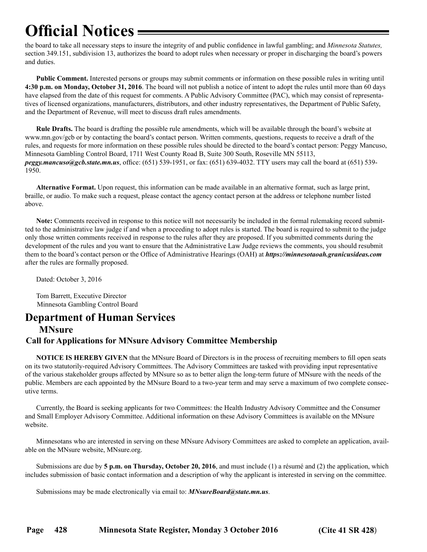<span id="page-15-0"></span>the board to take all necessary steps to insure the integrity of and public confidence in lawful gambling; and *Minnesota Statutes,*  section 349.151, subdivision 13, authorizes the board to adopt rules when necessary or proper in discharging the board's powers and duties.

**Public Comment.** Interested persons or groups may submit comments or information on these possible rules in writing until **4:30 p.m. on Monday, October 31, 2016**. The board will not publish a notice of intent to adopt the rules until more than 60 days have elapsed from the date of this request for comments. A Public Advisory Committee (PAC), which may consist of representatives of licensed organizations, manufacturers, distributors, and other industry representatives, the Department of Public Safety, and the Department of Revenue, will meet to discuss draft rules amendments.

**Rule Drafts.** The board is drafting the possible rule amendments, which will be available through the board's website at [www.mn.gov/gcb](http://www.mn.gov/gcb) or by contacting the board's contact person. Written comments, questions, requests to receive a draft of the rules, and requests for more information on these possible rules should be directed to the board's contact person: Peggy Mancuso, Minnesota Gambling Control Board, 1711 West County Road B, Suite 300 South, Roseville MN 55113, *[peggy.mancuso@gcb.state.mn.us](mailto:peggy.mancuso@gcb.state.mn.us)*, office: (651) 539-1951, or fax: (651) 639-4032. TTY users may call the board at (651) 539- 1950.

**Alternative Format.** Upon request, this information can be made available in an alternative format, such as large print, braille, or audio. To make such a request, please contact the agency contact person at the address or telephone number listed above.

**Note:** Comments received in response to this notice will not necessarily be included in the formal rulemaking record submitted to the administrative law judge if and when a proceeding to adopt rules is started. The board is required to submit to the judge only those written comments received in response to the rules after they are proposed. If you submitted comments during the development of the rules and you want to ensure that the Administrative Law Judge reviews the comments, you should resubmit them to the board's contact person or the Office of Administrative Hearings (OAH) at *<https://minnesotaoah.granicusideas.com>* after the rules are formally proposed.

Dated: October 3, 2016

Tom Barrett, Executive Director Minnesota Gambling Control Board

### **Department of Human Services**

#### **MNsure**

### **Call for Applications for MNsure Advisory Committee Membership**

**NOTICE IS HEREBY GIVEN** that the MNsure Board of Directors is in the process of recruiting members to fill open seats on its two statutorily-required Advisory Committees. The Advisory Committees are tasked with providing input representative of the various stakeholder groups affected by MNsure so as to better align the long-term future of MNsure with the needs of the public. Members are each appointed by the MNsure Board to a two-year term and may serve a maximum of two complete consecutive terms.

Currently, the Board is seeking applicants for two Committees: the Health Industry Advisory Committee and the Consumer and Small Employer Advisory Committee. Additional information on these Advisory Committees is available on the MNsure website.

Minnesotans who are interested in serving on these MNsure Advisory Committees are asked to complete an application, available on the MNsure website, MNsure.org.

Submissions are due by **5 p.m. on Thursday, October 20, 2016**, and must include (1) a résumé and (2) the application, which includes submission of basic contact information and a description of why the applicant is interested in serving on the committee.

Submissions may be made electronically via email to: *[MNsureBoard@state.mn.us](mailto:MNsureBoard@state.mn.us)*.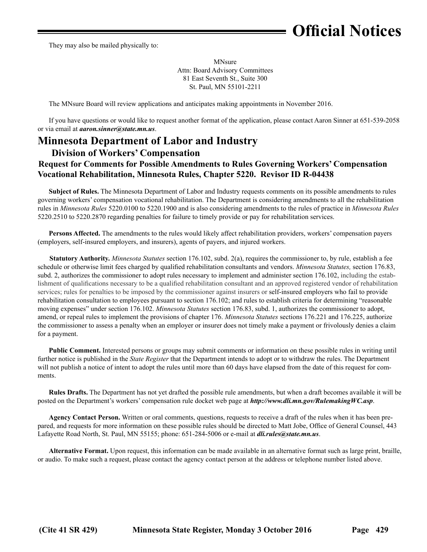<span id="page-16-0"></span>They may also be mailed physically to:

MNsure Attn: Board Advisory Committees 81 East Seventh St., Suite 300 St. Paul, MN 55101-2211

The MNsure Board will review applications and anticipates making appointments in November 2016.

If you have questions or would like to request another format of the application, please contact Aaron Sinner at 651-539-2058 or via email at *[aaron.sinner@state.mn.us](mailto:aaron.sinner@state.mn.us)*.

### **Minnesota Department of Labor and Industry**

#### **Division of Workers' Compensation**

### **Request for Comments for Possible Amendments to Rules Governing Workers' Compensation Vocational Rehabilitation, Minnesota Rules, Chapter 5220. Revisor ID R-04438**

**Subject of Rules.** The Minnesota Department of Labor and Industry requests comments on its possible amendments to rules governing workers' compensation vocational rehabilitation. The Department is considering amendments to all the rehabilitation rules in *Minnesota Rules* 5220.0100 to 5220.1900 and is also considering amendments to the rules of practice in *Minnesota Rules* 5220.2510 to 5220.2870 regarding penalties for failure to timely provide or pay for rehabilitation services.

**Persons Affected.** The amendments to the rules would likely affect rehabilitation providers, workers' compensation payers (employers, self-insured employers, and insurers), agents of payers, and injured workers.

**Statutory Authority.** *Minnesota Statutes* section 176.102, subd. 2(a), requires the commissioner to, by rule, establish a fee schedule or otherwise limit fees charged by qualified rehabilitation consultants and vendors. *Minnesota Statutes,* section 176.83, subd. 2, authorizes the commissioner to adopt rules necessary to implement and administer section 176.102, including the establishment of qualifications necessary to be a qualified rehabilitation consultant and an approved registered vendor of rehabilitation services; rules for penalties to be imposed by the commissioner against insurers or self-insured employers who fail to provide rehabilitation consultation to employees pursuant to section 176.102; and rules to establish criteria for determining "reasonable moving expenses" under section 176.102. *Minnesota Statutes* section 176.83, subd. 1, authorizes the commissioner to adopt, amend, or repeal rules to implement the provisions of chapter 176. *Minnesota Statutes* sections 176.221 and 176.225, authorize the commissioner to assess a penalty when an employer or insurer does not timely make a payment or frivolously denies a claim for a payment.

**Public Comment.** Interested persons or groups may submit comments or information on these possible rules in writing until further notice is published in the *State Register* that the Department intends to adopt or to withdraw the rules. The Department will not publish a notice of intent to adopt the rules until more than 60 days have elapsed from the date of this request for comments.

**Rules Drafts.** The Department has not yet drafted the possible rule amendments, but when a draft becomes available it will be posted on the Department's workers' compensation rule docket web page at *<http://www.dli.mn.gov/RulemakingWC.asp>*.

**Agency Contact Person.** Written or oral comments, questions, requests to receive a draft of the rules when it has been prepared, and requests for more information on these possible rules should be directed to Matt Jobe, Office of General Counsel, 443 Lafayette Road North, St. Paul, MN 55155; phone: 651-284-5006 or e-mail at *[dli.rules@state.mn.us](mailto:dli.rules@state.mn.us)*.

**Alternative Format.** Upon request, this information can be made available in an alternative format such as large print, braille, or audio. To make such a request, please contact the agency contact person at the address or telephone number listed above.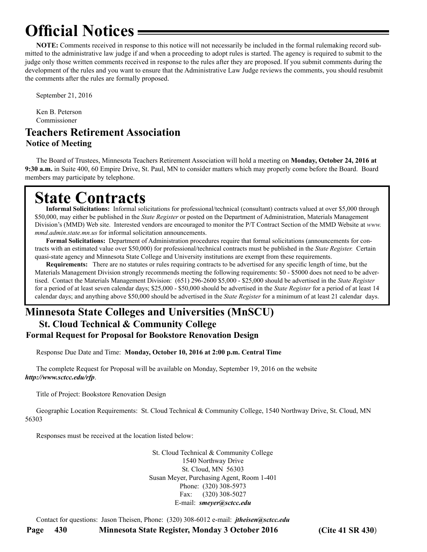<span id="page-17-0"></span>**NOTE:** Comments received in response to this notice will not necessarily be included in the formal rulemaking record submitted to the administrative law judge if and when a proceeding to adopt rules is started. The agency is required to submit to the judge only those written comments received in response to the rules after they are proposed. If you submit comments during the development of the rules and you want to ensure that the Administrative Law Judge reviews the comments, you should resubmit the comments after the rules are formally proposed.

September 21, 2016

Ken B. Peterson Commissioner

### **Teachers Retirement Association Notice of Meeting**

The Board of Trustees, Minnesota Teachers Retirement Association will hold a meeting on **Monday, October 24, 2016 at 9:30 a.m.** in Suite 400, 60 Empire Drive, St. Paul, MN to consider matters which may properly come before the Board. Board members may participate by telephone.

# **State Contracts**

**Informal Solicitations:** Informal solicitations for professional/technical (consultant) contracts valued at over \$5,000 through \$50,000, may either be published in the *State Register* or posted on the Department of Administration, Materials Management Division's (MMD) Web site. Interested vendors are encouraged to monitor the P/T Contract Section of the MMD Website at *www. mmd.admin.state.mn.us* for informal solicitation announcements.

**Formal Solicitations:** Department of Administration procedures require that formal solicitations (announcements for contracts with an estimated value over \$50,000) for professional/technical contracts must be published in the *State Register.* Certain quasi-state agency and Minnesota State College and University institutions are exempt from these requirements.

**Requirements:** There are no statutes or rules requiring contracts to be advertised for any specific length of time, but the Materials Management Division strongly recommends meeting the following requirements: \$0 - \$5000 does not need to be advertised. Contact the Materials Management Division: (651) 296-2600 \$5,000 - \$25,000 should be advertised in the *State Register* for a period of at least seven calendar days; \$25,000 - \$50,000 should be advertised in the *State Register* for a period of at least 14 calendar days; and anything above \$50,000 should be advertised in the *State Register* for a minimum of at least 21 calendar days.

### **Minnesota State Colleges and Universities (MnSCU) St. Cloud Technical & Community College Formal Request for Proposal for Bookstore Renovation Design**

Response Due Date and Time: **Monday, October 10, 2016 at 2:00 p.m. Central Time**

The complete Request for Proposal will be available on Monday, September 19, 2016 on the website *http://www.sctcc.edu/rfp*.

Title of Project: Bookstore Renovation Design

Geographic Location Requirements: St. Cloud Technical & Community College, 1540 Northway Drive, St. Cloud, MN 56303

Responses must be received at the location listed below:

St. Cloud Technical & Community College 1540 Northway Drive St. Cloud, MN 56303 Susan Meyer, Purchasing Agent, Room 1-401 Phone: (320) 308-5973 Fax: (320) 308-5027 E-mail: *smeyer@sctcc.edu*

Contact for questions: Jason Theisen, Phone: (320) 308-6012 e-mail: *jtheisen@sctcc.edu* 

**Page 430 Minnesota State Register, Monday 3 October 2016 (Cite 41 SR 430**)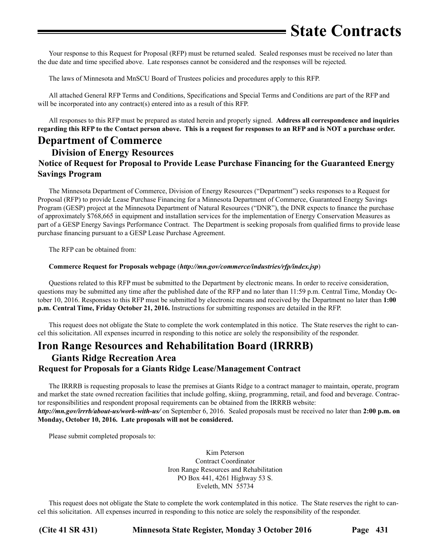# **State Contracts**

<span id="page-18-0"></span>Your response to this Request for Proposal (RFP) must be returned sealed. Sealed responses must be received no later than the due date and time specified above. Late responses cannot be considered and the responses will be rejected.

The laws of Minnesota and MnSCU Board of Trustees policies and procedures apply to this RFP.

All attached General RFP Terms and Conditions, Specifications and Special Terms and Conditions are part of the RFP and will be incorporated into any contract(s) entered into as a result of this RFP.

All responses to this RFP must be prepared as stated herein and properly signed. **Address all correspondence and inquiries regarding this RFP to the Contact person above. This is a request for responses to an RFP and is NOT a purchase order.**

### **Department of Commerce**

### **Division of Energy Resources Notice of Request for Proposal to Provide Lease Purchase Financing for the Guaranteed Energy Savings Program**

The Minnesota Department of Commerce, Division of Energy Resources ("Department") seeks responses to a Request for Proposal (RFP) to provide Lease Purchase Financing for a Minnesota Department of Commerce, Guaranteed Energy Savings Program (GESP) project at the Minnesota Department of Natural Resources ("DNR"), the DNR expects to finance the purchase of approximately \$768,665 in equipment and installation services for the implementation of Energy Conservation Measures as part of a GESP Energy Savings Performance Contract. The Department is seeking proposals from qualified firms to provide lease purchase financing pursuant to a GESP Lease Purchase Agreement.

The RFP can be obtained from:

#### **[Commerce Request for Proposals webpage](http://mn.gov/commerce/industries/rfp/index.jsp)** (*http://mn.gov/commerce/industries/rfp/index.jsp*)

Questions related to this RFP must be submitted to the Department by electronic means. In order to receive consideration, questions may be submitted any time after the published date of the RFP and no later than 11:59 p.m. Central Time, Monday October 10, 2016. Responses to this RFP must be submitted by electronic means and received by the Department no later than **1:00 p.m. Central Time, Friday October 21, 2016.** Instructions for submitting responses are detailed in the RFP.

This request does not obligate the State to complete the work contemplated in this notice. The State reserves the right to cancel this solicitation. All expenses incurred in responding to this notice are solely the responsibility of the responder.

### **Iron Range Resources and Rehabilitation Board (IRRRB)**

#### **Giants Ridge Recreation Area Request for Proposals for a Giants Ridge Lease/Management Contract**

The IRRRB is requesting proposals to lease the premises at Giants Ridge to a contract manager to maintain, operate, program and market the state owned recreation facilities that include golfing, skiing, programming, retail, and food and beverage. Contractor responsibilities and respondent proposal requirements can be obtained from the IRRRB website:

#### *http://mn.gov/irrrb/about-us/work-with-us/* on September 6, 2016. Sealed proposals must be received no later than **2:00 p.m. on Monday, October 10, 2016. Late proposals will not be considered.**

Please submit completed proposals to:

Kim Peterson Contract Coordinator Iron Range Resources and Rehabilitation PO Box 441, 4261 Highway 53 S. Eveleth, MN 55734

This request does not obligate the State to complete the work contemplated in this notice. The State reserves the right to cancel this solicitation. All expenses incurred in responding to this notice are solely the responsibility of the responder.

**(Cite 41 SR 431) Minnesota State Register, Monday 3 October 2016 Page 431**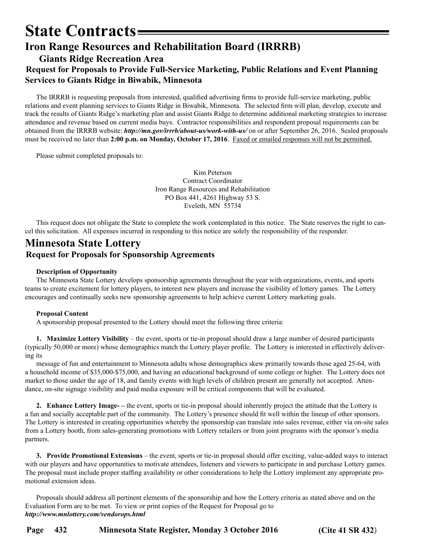### <span id="page-19-0"></span>**State Contracts Iron Range Resources and Rehabilitation Board (IRRRB)**

#### **Giants Ridge Recreation Area Request for Proposals to Provide Full-Service Marketing, Public Relations and Event Planning Services to Giants Ridge in Biwabik, Minnesota**

The IRRRB is requesting proposals from interested, qualified advertising firms to provide full-service marketing, public relations and event planning services to Giants Ridge in Biwabik, Minnesota. The selected firm will plan, develop, execute and track the results of Giants Ridge's marketing plan and assist Giants Ridge to determine additional marketing strategies to increase attendance and revenue based on current media buys. Contractor responsibilities and respondent proposal requirements can be obtained from the IRRRB website: *<http://mn.gov/irrrb/about-us/work-with-us/>* on or after September 26, 2016. Sealed proposals must be received no later than **2:00 p.m. on Monday, October 17, 2016**. Faxed or emailed responses will not be permitted.

Please submit completed proposals to:

Kim Peterson Contract Coordinator Iron Range Resources and Rehabilitation PO Box 441, 4261 Highway 53 S. Eveleth, MN 55734

This request does not obligate the State to complete the work contemplated in this notice. The State reserves the right to cancel this solicitation. All expenses incurred in responding to this notice are solely the responsibility of the responder.

### **Minnesota State Lottery Request for Proposals for Sponsorship Agreements**

#### **Description of Opportunity**

The Minnesota State Lottery develops sponsorship agreements throughout the year with organizations, events, and sports teams to create excitement for lottery players, to interest new players and increase the visibility of lottery games. The Lottery encourages and continually seeks new sponsorship agreements to help achieve current Lottery marketing goals.

#### **Proposal Content**

A sponsorship proposal presented to the Lottery should meet the following three criteria:

**1. Maximize Lottery Visibility** – the event, sports or tie-in proposal should draw a large number of desired participants (typically 50,000 or more) whose demographics match the Lottery player profile. The Lottery is interested in effectively delivering its

message of fun and entertainment to Minnesota adults whose demographics skew primarily towards those aged 25-64, with a household income of \$35,000-\$75,000, and having an educational background of some college or higher. The Lottery does not market to those under the age of 18, and family events with high levels of children present are generally not accepted. Attendance, on-site signage visibility and paid media exposure will be critical components that will be evaluated.

**2. Enhance Lottery Image- –** the event, sports or tie-in proposal should inherently project the attitude that the Lottery is a fun and socially acceptable part of the community. The Lottery's presence should fit well within the lineup of other sponsors. The Lottery is interested in creating opportunities whereby the sponsorship can translate into sales revenue, either via on-site sales from a Lottery booth, from sales-generating promotions with Lottery retailers or from joint programs with the sponsor's media partners.

**3. Provide Promotional Extensions** – the event, sports or tie-in proposal should offer exciting, value-added ways to interact with our players and have opportunities to motivate attendees, listeners and viewers to participate in and purchase Lottery games. The proposal must include proper staffing availability or other considerations to help the Lottery implement any appropriate promotional extension ideas.

Proposals should address all pertinent elements of the sponsorship and how the Lottery criteria as stated above and on the Evaluation Form are to be met. To view or print copies of the Request for Proposal go to *http://www.mnlottery.com/vendorops.html*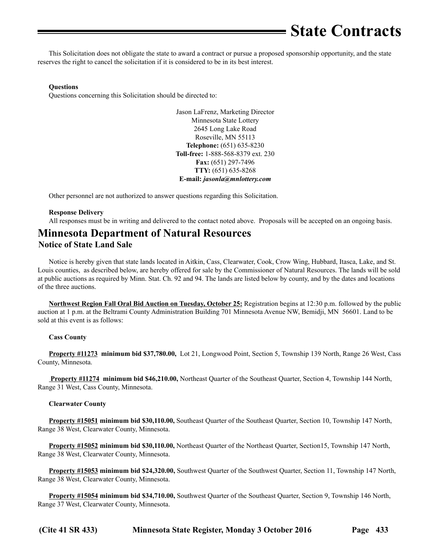# **State Contracts**

<span id="page-20-0"></span>This Solicitation does not obligate the state to award a contract or pursue a proposed sponsorship opportunity, and the state reserves the right to cancel the solicitation if it is considered to be in its best interest.

#### **Questions**

Questions concerning this Solicitation should be directed to:

Jason LaFrenz, Marketing Director Minnesota State Lottery 2645 Long Lake Road Roseville, MN 55113 **Telephone:** (651) 635-8230 **Toll-free:** 1-888-568-8379 ext. 230 **Fax:** (651) 297-7496 **TTY:** (651) 635-8268 **E-mail:** *jasonla@mnlottery.com*

Other personnel are not authorized to answer questions regarding this Solicitation.

#### **Response Delivery**

All responses must be in writing and delivered to the contact noted above. Proposals will be accepted on an ongoing basis.

### **Minnesota Department of Natural Resources Notice of State Land Sale**

Notice is hereby given that state lands located in Aitkin, Cass, Clearwater, Cook, Crow Wing, Hubbard, Itasca, Lake, and St. Louis counties, as described below, are hereby offered for sale by the Commissioner of Natural Resources. The lands will be sold at public auctions as required by Minn. Stat. Ch. 92 and 94. The lands are listed below by county, and by the dates and locations of the three auctions.

**Northwest Region Fall Oral Bid Auction on Tuesday, October 25:** Registration begins at 12:30 p.m. followed by the public auction at 1 p.m. at the Beltrami County Administration Building 701 Minnesota Avenue NW, Bemidji, MN 56601. Land to be sold at this event is as follows:

#### **Cass County**

**Property #11273 minimum bid \$37,780.00,** Lot 21, Longwood Point, Section 5, Township 139 North, Range 26 West, Cass County, Minnesota.

 **Property #11274 minimum bid \$46,210.00,** Northeast Quarter of the Southeast Quarter, Section 4, Township 144 North, Range 31 West, Cass County, Minnesota.

#### **Clearwater County**

**Property #15051 minimum bid \$30,110.00,** Southeast Quarter of the Southeast Quarter, Section 10, Township 147 North, Range 38 West, Clearwater County, Minnesota.

**Property #15052 minimum bid \$30,110.00,** Northeast Quarter of the Northeast Quarter, Section15, Township 147 North, Range 38 West, Clearwater County, Minnesota.

**Property #15053 minimum bid \$24,320.00,** Southwest Quarter of the Southwest Quarter, Section 11, Township 147 North, Range 38 West, Clearwater County, Minnesota.

**Property #15054 minimum bid \$34,710.00,** Southwest Quarter of the Southeast Quarter, Section 9, Township 146 North, Range 37 West, Clearwater County, Minnesota.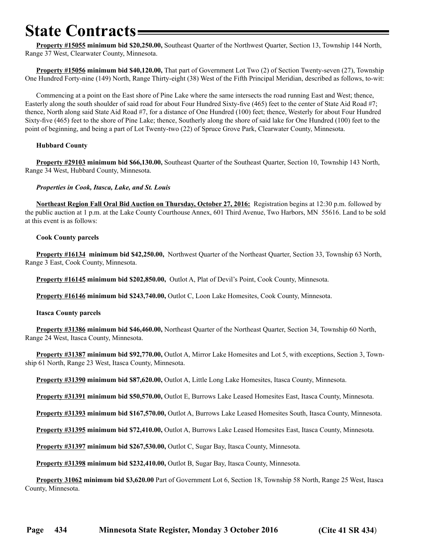# **State Contracts**

**Property #15055 minimum bid \$20,250.00,** Southeast Quarter of the Northwest Quarter, Section 13, Township 144 North, Range 37 West, Clearwater County, Minnesota.

**Property #15056 minimum bid \$40,120.00,** That part of Government Lot Two (2) of Section Twenty-seven (27), Township One Hundred Forty-nine (149) North, Range Thirty-eight (38) West of the Fifth Principal Meridian, described as follows, to-wit:

Commencing at a point on the East shore of Pine Lake where the same intersects the road running East and West; thence, Easterly along the south shoulder of said road for about Four Hundred Sixty-five (465) feet to the center of State Aid Road #7; thence, North along said State Aid Road #7, for a distance of One Hundred (100) feet; thence, Westerly for about Four Hundred Sixty-five (465) feet to the shore of Pine Lake; thence, Southerly along the shore of said lake for One Hundred (100) feet to the point of beginning, and being a part of Lot Twenty-two (22) of Spruce Grove Park, Clearwater County, Minnesota.

#### **Hubbard County**

**Property #29103 minimum bid \$66,130.00,** Southeast Quarter of the Southeast Quarter, Section 10, Township 143 North, Range 34 West, Hubbard County, Minnesota.

#### *Properties in Cook, Itasca, Lake, and St. Louis*

**Northeast Region Fall Oral Bid Auction on Thursday, October 27, 2016:** Registration begins at 12:30 p.m. followed by the public auction at 1 p.m. at the Lake County Courthouse Annex, 601 Third Avenue, Two Harbors, MN 55616. Land to be sold at this event is as follows:

#### **Cook County parcels**

**Property #16134 minimum bid \$42,250.00,** Northwest Quarter of the Northeast Quarter, Section 33, Township 63 North, Range 3 East, Cook County, Minnesota.

**Property #16145 minimum bid \$202,850.00,** Outlot A, Plat of Devil's Point, Cook County, Minnesota.

**Property #16146 minimum bid \$243,740.00,** Outlot C, Loon Lake Homesites, Cook County, Minnesota.

#### **Itasca County parcels**

**Property #31386 minimum bid \$46,460.00,** Northeast Quarter of the Northeast Quarter, Section 34, Township 60 North, Range 24 West, Itasca County, Minnesota.

**Property #31387 minimum bid \$92,770.00,** Outlot A, Mirror Lake Homesites and Lot 5, with exceptions, Section 3, Township 61 North, Range 23 West, Itasca County, Minnesota.

**Property #31390 minimum bid \$87,620.00,** Outlot A, Little Long Lake Homesites, Itasca County, Minnesota.

**Property #31391 minimum bid \$50,570.00,** Outlot E, Burrows Lake Leased Homesites East, Itasca County, Minnesota.

**Property #31393 minimum bid \$167,570.00,** Outlot A, Burrows Lake Leased Homesites South, Itasca County, Minnesota.

**Property #31395 minimum bid \$72,410.00,** Outlot A, Burrows Lake Leased Homesites East, Itasca County, Minnesota.

**Property #31397 minimum bid \$267,530.00,** Outlot C, Sugar Bay, Itasca County, Minnesota.

**Property #31398 minimum bid \$232,410.00,** Outlot B, Sugar Bay, Itasca County, Minnesota.

**Property 31062 minimum bid \$3,620.00** Part of Government Lot 6, Section 18, Township 58 North, Range 25 West, Itasca County, Minnesota.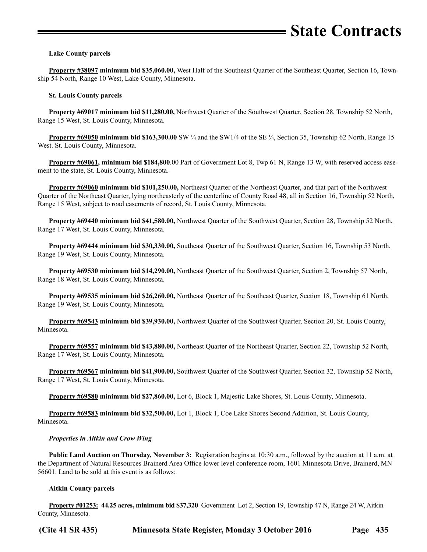#### **Lake County parcels**

**Property #38097 minimum bid \$35,060.00,** West Half of the Southeast Quarter of the Southeast Quarter, Section 16, Township 54 North, Range 10 West, Lake County, Minnesota.

#### **St. Louis County parcels**

**Property #69017 minimum bid \$11,280.00,** Northwest Quarter of the Southwest Quarter, Section 28, Township 52 North, Range 15 West, St. Louis County, Minnesota.

**Property #69050 minimum bid \$163,300.00** SW ¼ and the SW1/4 of the SE ¼, Section 35, Township 62 North, Range 15 West. St. Louis County, Minnesota.

**Property #69061, minimum bid \$184,800**.00 Part of Government Lot 8, Twp 61 N, Range 13 W, with reserved access easement to the state, St. Louis County, Minnesota.

**Property #69060 minimum bid \$101,250.00,** Northeast Quarter of the Northeast Quarter, and that part of the Northwest Quarter of the Northeast Quarter, lying northeasterly of the centerline of County Road 48, all in Section 16, Township 52 North, Range 15 West, subject to road easements of record, St. Louis County, Minnesota.

**Property #69440 minimum bid \$41,580.00,** Northwest Quarter of the Southwest Quarter, Section 28, Township 52 North, Range 17 West, St. Louis County, Minnesota.

**Property #69444 minimum bid \$30,330.00,** Southeast Quarter of the Southwest Quarter, Section 16, Township 53 North, Range 19 West, St. Louis County, Minnesota.

**Property #69530 minimum bid \$14,290.00,** Northeast Quarter of the Southwest Quarter, Section 2, Township 57 North, Range 18 West, St. Louis County, Minnesota.

**Property #69535 minimum bid \$26,260.00,** Northeast Quarter of the Southeast Quarter, Section 18, Township 61 North, Range 19 West, St. Louis County, Minnesota.

**Property #69543 minimum bid \$39,930.00,** Northwest Quarter of the Southwest Quarter, Section 20, St. Louis County, Minnesota.

**Property #69557 minimum bid \$43,880.00,** Northeast Quarter of the Northeast Quarter, Section 22, Township 52 North, Range 17 West, St. Louis County, Minnesota.

**Property #69567 minimum bid \$41,900.00,** Southwest Quarter of the Southwest Quarter, Section 32, Township 52 North, Range 17 West, St. Louis County, Minnesota.

**Property #69580 minimum bid \$27,860.00,** Lot 6, Block 1, Majestic Lake Shores, St. Louis County, Minnesota.

**Property #69583 minimum bid \$32,500.00,** Lot 1, Block 1, Coe Lake Shores Second Addition, St. Louis County, Minnesota.

#### *Properties in Aitkin and Crow Wing*

**Public Land Auction on Thursday, November 3:** Registration begins at 10:30 a.m., followed by the auction at 11 a.m. at the Department of Natural Resources Brainerd Area Office lower level conference room, 1601 Minnesota Drive, Brainerd, MN 56601. Land to be sold at this event is as follows:

#### **Aitkin County parcels**

**Property #01253: 44.25 acres, minimum bid \$37,320** Government Lot 2, Section 19, Township 47 N, Range 24 W, Aitkin County, Minnesota.

**(Cite 41 SR 435) Minnesota State Register, Monday 3 October 2016 Page 435**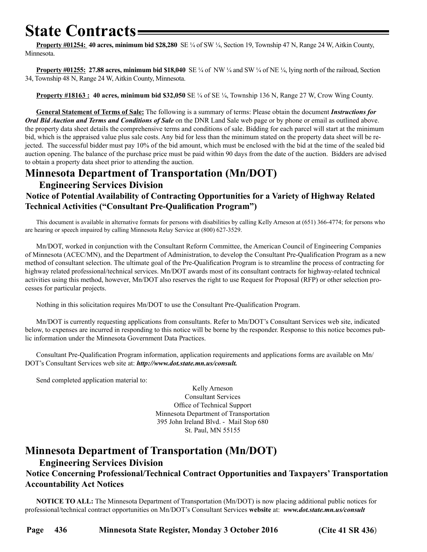# <span id="page-23-0"></span>**State Contracts**

**Property #01254: 40 acres, minimum bid \$28,280** SE ¼ of SW ¼, Section 19, Township 47 N, Range 24 W, Aitkin County, Minnesota.

**Property #01255: 27.88 acres, minimum bid \$18,040** SE ¼ of NW ¼ and SW ¼ of NE ¼, lying north of the railroad, Section 34, Township 48 N, Range 24 W, Aitkin County, Minnesota.

**Property #18163 : 40 acres, minimum bid \$32,050** SE ¼ of SE ¼, Township 136 N, Range 27 W, Crow Wing County.

**General Statement of Terms of Sale:** The following is a summary of terms: Please obtain the document *Instructions for Oral Bid Auction and Terms and Conditions of Sale* on the DNR Land Sale web page or by phone or email as outlined above. the property data sheet details the comprehensive terms and conditions of sale. Bidding for each parcel will start at the minimum bid, which is the appraised value plus sale costs. Any bid for less than the minimum stated on the property data sheet will be rejected. The successful bidder must pay 10% of the bid amount, which must be enclosed with the bid at the time of the sealed bid auction opening. The balance of the purchase price must be paid within 90 days from the date of the auction. Bidders are advised to obtain a property data sheet prior to attending the auction.

### **Minnesota Department of Transportation (Mn/DOT)**

#### **Engineering Services Division Notice of Potential Availability of Contracting Opportunities for a Variety of Highway Related Technical Activities ("Consultant Pre-Qualification Program")**

This document is available in alternative formats for persons with disabilities by calling Kelly Arneson at (651) 366-4774; for persons who are hearing or speech impaired by calling Minnesota Relay Service at (800) 627-3529.

Mn/DOT, worked in conjunction with the Consultant Reform Committee, the American Council of Engineering Companies of Minnesota (ACEC/MN), and the Department of Administration, to develop the Consultant Pre-Qualification Program as a new method of consultant selection. The ultimate goal of the Pre-Qualification Program is to streamline the process of contracting for highway related professional/technical services. Mn/DOT awards most of its consultant contracts for highway-related technical activities using this method, however, Mn/DOT also reserves the right to use Request for Proposal (RFP) or other selection processes for particular projects.

Nothing in this solicitation requires Mn/DOT to use the Consultant Pre-Qualification Program.

Mn/DOT is currently requesting applications from consultants. Refer to Mn/DOT's Consultant Services web site, indicated below, to expenses are incurred in responding to this notice will be borne by the responder. Response to this notice becomes public information under the Minnesota Government Data Practices.

Consultant Pre-Qualification Program information, application requirements and applications forms are available on Mn/ DOT's Consultant Services web site at: *http://www.dot.state.mn.us/consult.*

Send completed application material to:

Kelly Arneson Consultant Services Office of Technical Support Minnesota Department of Transportation 395 John Ireland Blvd. - Mail Stop 680 St. Paul, MN 55155

### **Minnesota Department of Transportation (Mn/DOT)**

#### **Engineering Services Division**

### **Notice Concerning Professional/Technical Contract Opportunities and Taxpayers' Transportation Accountability Act Notices**

**NOTICE TO ALL:** The Minnesota Department of Transportation (Mn/DOT) is now placing additional public notices for professional/technical contract opportunities on Mn/DOT's Consultant Services **website** at: *www.dot.state.mn.us/consult*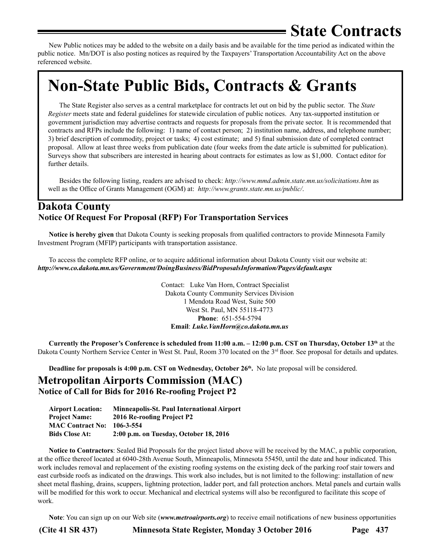# **State Contracts**

<span id="page-24-0"></span>New Public notices may be added to the website on a daily basis and be available for the time period as indicated within the public notice. Mn/DOT is also posting notices as required by the Taxpayers' Transportation Accountability Act on the above referenced website.

# **Non-State Public Bids, Contracts & Grants**

The State Register also serves as a central marketplace for contracts let out on bid by the public sector. The *State Register* meets state and federal guidelines for statewide circulation of public notices. Any tax-supported institution or government jurisdiction may advertise contracts and requests for proposals from the private sector. It is recommended that contracts and RFPs include the following: 1) name of contact person; 2) institution name, address, and telephone number; 3) brief description of commodity, project or tasks; 4) cost estimate; and 5) final submission date of completed contract proposal. Allow at least three weeks from publication date (four weeks from the date article is submitted for publication). Surveys show that subscribers are interested in hearing about contracts for estimates as low as \$1,000. Contact editor for further details.

Besides the following listing, readers are advised to check: *http://www.mmd.admin.state.mn.us/solicitations.htm* as well as the Office of Grants Management (OGM) at: *http://www.grants.state.mn.us/public/*.

### **Dakota County Notice Of Request For Proposal (RFP) For Transportation Services**

**Notice is hereby given** that Dakota County is seeking proposals from qualified contractors to provide Minnesota Family Investment Program (MFIP) participants with transportation assistance.

To access the complete RFP online, or to acquire additional information about Dakota County visit our website at: *<http://www.co.dakota.mn.us/Government/DoingBusiness/BidProposalsInformation/Pages/default.aspx>*

> Contact: Luke Van Horn, Contract Specialist Dakota County Community Services Division 1 Mendota Road West, Suite 500 West St. Paul, MN 55118-4773  **Phone**: 651-554-5794  **Email**: *[Luke.VanHorn@co.dakota.mn.us](mailto:Luke.VanHorn@co.dakota.mn.us)*

**Currently the Proposer's Conference is scheduled from 11:00 a.m. – 12:00 p.m. CST on Thursday, October 13th** at the Dakota County Northern Service Center in West St. Paul, Room 370 located on the 3<sup>rd</sup> floor. See proposal for details and updates.

**Deadline for proposals is 4:00 p.m. CST on Wednesday, October 26th.** No late proposal will be considered.

### **Metropolitan Airports Commission (MAC) Notice of Call for Bids for 2016 Re-roofing Project P2**

| <b>Airport Location:</b> | Minneapolis-St. Paul International Airport |
|--------------------------|--------------------------------------------|
| <b>Project Name:</b>     | 2016 Re-roofing Project P2                 |
| <b>MAC Contract No:</b>  | 106-3-554                                  |
| <b>Bids Close At:</b>    | 2:00 p.m. on Tuesday, October 18, 2016     |

**Notice to Contractors**: Sealed Bid Proposals for the project listed above will be received by the MAC, a public corporation, at the office thereof located at 6040-28th Avenue South, Minneapolis, Minnesota 55450, until the date and hour indicated. This work includes removal and replacement of the existing roofing systems on the existing deck of the parking roof stair towers and east curbside roofs as indicated on the drawings. This work also includes, but is not limited to the following: installation of new sheet metal flashing, drains, scuppers, lightning protection, ladder port, and fall protection anchors. Metal panels and curtain walls will be modified for this work to occur. Mechanical and electrical systems will also be reconfigured to facilitate this scope of work.

**Note**: You can sign up on our Web site (*www.metroairports.org*) to receive email notifications of new business opportunities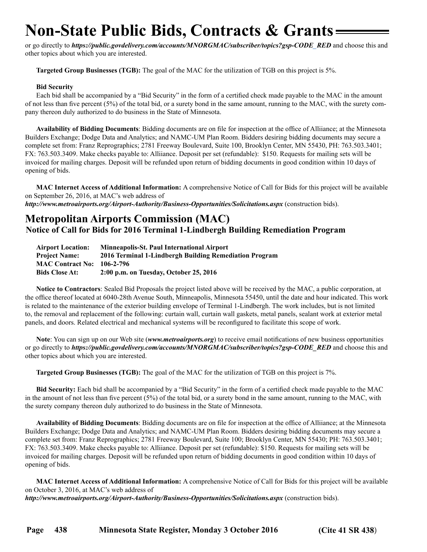# <span id="page-25-0"></span>**Non-State Public Bids, Contracts & Grants**

or go directly to *https://public.govdelivery.com/accounts/MNORGMAC/subscriber/topics?gsp-CODE\_RED* and choose this and other topics about which you are interested.

**Targeted Group Businesses (TGB):** The goal of the MAC for the utilization of TGB on this project is 5%.

#### **Bid Security**

Each bid shall be accompanied by a "Bid Security" in the form of a certified check made payable to the MAC in the amount of not less than five percent (5%) of the total bid, or a surety bond in the same amount, running to the MAC, with the surety company thereon duly authorized to do business in the State of Minnesota.

**Availability of Bidding Documents**: Bidding documents are on file for inspection at the office of Alliiance; at the Minnesota Builders Exchange; Dodge Data and Analytics; and NAMC-UM Plan Room. Bidders desiring bidding documents may secure a complete set from: Franz Reprographics; 2781 Freeway Boulevard, Suite 100, Brooklyn Center, MN 55430, PH: 763.503.3401; FX: 763.503.3409. Make checks payable to: Alliiance. Deposit per set (refundable): \$150. Requests for mailing sets will be invoiced for mailing charges. Deposit will be refunded upon return of bidding documents in good condition within 10 days of opening of bids.

**MAC Internet Access of Additional Information:** A comprehensive Notice of Call for Bids for this project will be available on September 26, 2016, at MAC's web address of

*http://www.metroairports.org/Airport-Authority/Business-Opportunities/Solicitations.aspx* (construction bids).

### **Metropolitan Airports Commission (MAC) Notice of Call for Bids for 2016 Terminal 1-Lindbergh Building Remediation Program**

| <b>Airport Location:</b> | <b>Minneapolis-St. Paul International Airport</b>      |
|--------------------------|--------------------------------------------------------|
| <b>Project Name:</b>     | 2016 Terminal 1-Lindbergh Building Remediation Program |
| <b>MAC Contract No:</b>  | 106-2-796                                              |
| <b>Bids Close At:</b>    | 2:00 p.m. on Tuesday, October 25, 2016                 |

**Notice to Contractors**: Sealed Bid Proposals the project listed above will be received by the MAC, a public corporation, at the office thereof located at 6040-28th Avenue South, Minneapolis, Minnesota 55450, until the date and hour indicated. This work is related to the maintenance of the exterior building envelope of Terminal 1-Lindbergh. The work includes, but is not limited to, the removal and replacement of the following: curtain wall, curtain wall gaskets, metal panels, sealant work at exterior metal panels, and doors. Related electrical and mechanical systems will be reconfigured to facilitate this scope of work.

**Note**: You can sign up on our Web site (*www.metroairports.org*) to receive email notifications of new business opportunities or go directly to *https://public.govdelivery.com/accounts/MNORGMAC/subscriber/topics?gsp-CODE\_RED* and choose this and other topics about which you are interested.

**Targeted Group Businesses (TGB):** The goal of the MAC for the utilization of TGB on this project is 7%.

**Bid Security:** Each bid shall be accompanied by a "Bid Security" in the form of a certified check made payable to the MAC in the amount of not less than five percent (5%) of the total bid, or a surety bond in the same amount, running to the MAC, with the surety company thereon duly authorized to do business in the State of Minnesota.

**Availability of Bidding Documents**: Bidding documents are on file for inspection at the office of Alliiance; at the Minnesota Builders Exchange; Dodge Data and Analytics; and NAMC-UM Plan Room. Bidders desiring bidding documents may secure a complete set from: Franz Reprographics; 2781 Freeway Boulevard, Suite 100; Brooklyn Center, MN 55430; PH: 763.503.3401; FX: 763.503.3409. Make checks payable to: Alliiance. Deposit per set (refundable): \$150. Requests for mailing sets will be invoiced for mailing charges. Deposit will be refunded upon return of bidding documents in good condition within 10 days of opening of bids.

**MAC Internet Access of Additional Information:** A comprehensive Notice of Call for Bids for this project will be available on October 3, 2016, at MAC's web address of

*http://www.metroairports.org/Airport-Authority/Business-Opportunities/Solicitations.aspx* (construction bids).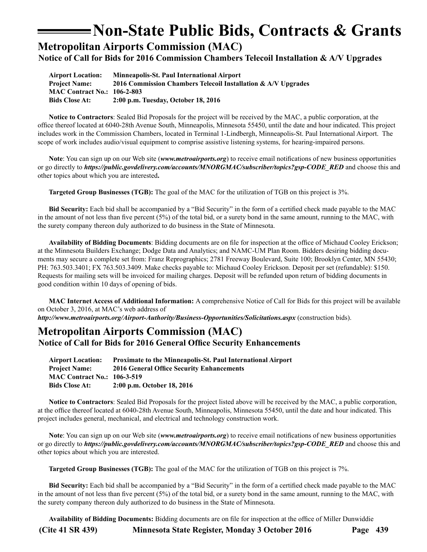### **Non-State Public Bids, Contracts & Grants**

<span id="page-26-0"></span>**Metropolitan Airports Commission (MAC)**

**Notice of Call for Bids for 2016 Commission Chambers Telecoil Installation & A/V Upgrades**

**Airport Location: Minneapolis-St. Paul International Airport Project Name: 2016 Commission Chambers Telecoil Installation & A/V Upgrades MAC Contract No.: 106-2-803 Bids Close At: 2:00 p.m. Tuesday, October 18, 2016**

**Notice to Contractors**: Sealed Bid Proposals for the project will be received by the MAC, a public corporation, at the office thereof located at 6040-28th Avenue South, Minneapolis, Minnesota 55450, until the date and hour indicated. This project includes work in the Commission Chambers, located in Terminal 1-Lindbergh, Minneapolis-St. Paul International Airport. The scope of work includes audio/visual equipment to comprise assistive listening systems, for hearing-impaired persons.

**Note**: You can sign up on our Web site (*www.metroairports.org*) to receive email notifications of new business opportunities or go directly to *https://public.govdelivery.com/accounts/MNORGMAC/subscriber/topics?gsp-CODE\_RED* and choose this and other topics about which you are interested**.**

**Targeted Group Businesses (TGB):** The goal of the MAC for the utilization of TGB on this project is 3%.

**Bid Security:** Each bid shall be accompanied by a "Bid Security" in the form of a certified check made payable to the MAC in the amount of not less than five percent (5%) of the total bid, or a surety bond in the same amount, running to the MAC, with the surety company thereon duly authorized to do business in the State of Minnesota.

**Availability of Bidding Documents**: Bidding documents are on file for inspection at the office of Michaud Cooley Erickson; at the Minnesota Builders Exchange; Dodge Data and Analytics; and NAMC-UM Plan Room. Bidders desiring bidding documents may secure a complete set from: Franz Reprographics; 2781 Freeway Boulevard, Suite 100; Brooklyn Center, MN 55430; PH: 763.503.3401; FX 763.503.3409. Make checks payable to: Michaud Cooley Erickson. Deposit per set (refundable): \$150. Requests for mailing sets will be invoiced for mailing charges. Deposit will be refunded upon return of bidding documents in good condition within 10 days of opening of bids.

**MAC Internet Access of Additional Information:** A comprehensive Notice of Call for Bids for this project will be available on October 3, 2016, at MAC's web address of

*http://www.metroairports.org/Airport-Authority/Business-Opportunities/Solicitations.aspx* (construction bids).

### **Metropolitan Airports Commission (MAC) Notice of Call for Bids for 2016 General Office Security Enhancements**

| <b>Airport Location:</b>           | <b>Proximate to the Minneapolis-St. Paul International Airport</b> |
|------------------------------------|--------------------------------------------------------------------|
| <b>Project Name:</b>               | 2016 General Office Security Enhancements                          |
| <b>MAC Contract No.: 106-3-519</b> |                                                                    |
| <b>Bids Close At:</b>              | 2:00 p.m. October 18, 2016                                         |

**Notice to Contractors**: Sealed Bid Proposals for the project listed above will be received by the MAC, a public corporation, at the office thereof located at 6040-28th Avenue South, Minneapolis, Minnesota 55450, until the date and hour indicated. This project includes general, mechanical, and electrical and technology construction work.

**Note**: You can sign up on our Web site (*[www.metroairports.org](http://www.metroairports.org)*) to receive email notifications of new business opportunities or go directly to *[https://public.govdelivery.com/accounts/MNORGMAC/subscriber/topics?gsp-CODE\\_](https://public.govdelivery.com/accounts/MNORGMAC/subscriber/topics?gsp-CODE)RED* and choose this and other topics about which you are interested.

**Targeted Group Businesses (TGB):** The goal of the MAC for the utilization of TGB on this project is 7%.

**Bid Security:** Each bid shall be accompanied by a "Bid Security" in the form of a certified check made payable to the MAC in the amount of not less than five percent (5%) of the total bid, or a surety bond in the same amount, running to the MAC, with the surety company thereon duly authorized to do business in the State of Minnesota.

**(Cite 41 SR 439) Minnesota State Register, Monday 3 October 2016 Page 439 Availability of Bidding Documents:** Bidding documents are on file for inspection at the office of Miller Dunwiddie